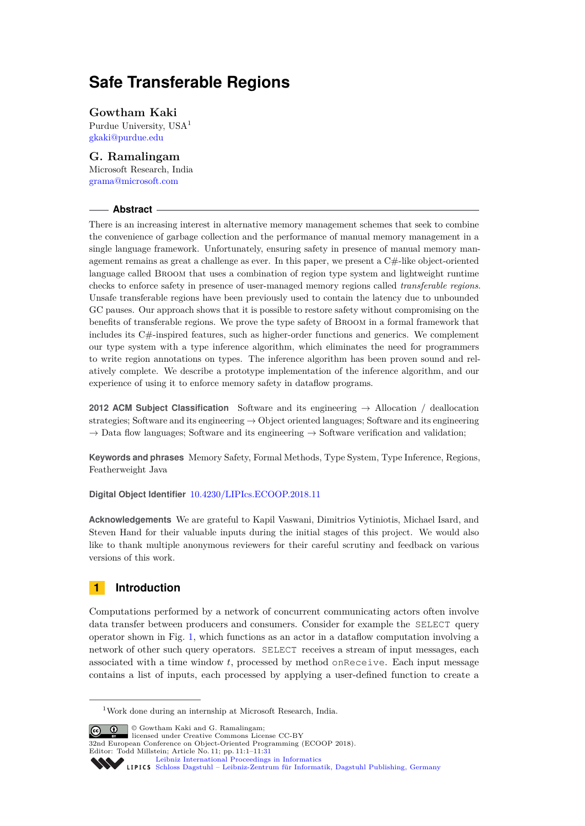# **Safe Transferable Regions**

### **Gowtham Kaki**

Purdue University, USA<sup>1</sup> [gkaki@purdue.edu](mailto:gkaki@purdue.edu)

### **G. Ramalingam**

Microsoft Research, India [grama@microsoft.com](mailto:grama@microsoft.com)

### **Abstract**

There is an increasing interest in alternative memory management schemes that seek to combine the convenience of garbage collection and the performance of manual memory management in a single language framework. Unfortunately, ensuring safety in presence of manual memory management remains as great a challenge as ever. In this paper, we present a C#-like object-oriented language called Broom that uses a combination of region type system and lightweight runtime checks to enforce safety in presence of user-managed memory regions called *transferable regions*. Unsafe transferable regions have been previously used to contain the latency due to unbounded GC pauses. Our approach shows that it is possible to restore safety without compromising on the benefits of transferable regions. We prove the type safety of Broom in a formal framework that includes its C#-inspired features, such as higher-order functions and generics. We complement our type system with a type inference algorithm, which eliminates the need for programmers to write region annotations on types. The inference algorithm has been proven sound and relatively complete. We describe a prototype implementation of the inference algorithm, and our experience of using it to enforce memory safety in dataflow programs.

**2012 ACM Subject Classification** Software and its engineering → Allocation / deallocation strategies; Software and its engineering  $\rightarrow$  Object oriented languages; Software and its engineering  $\rightarrow$  Data flow languages; Software and its engineering  $\rightarrow$  Software verification and validation;

**Keywords and phrases** Memory Safety, Formal Methods, Type System, Type Inference, Regions, Featherweight Java

### **Digital Object Identifier** [10.4230/LIPIcs.ECOOP.2018.11](http://dx.doi.org/10.4230/LIPIcs.ECOOP.2018.11)

**Acknowledgements** We are grateful to Kapil Vaswani, Dimitrios Vytiniotis, Michael Isard, and Steven Hand for their valuable inputs during the initial stages of this project. We would also like to thank multiple anonymous reviewers for their careful scrutiny and feedback on various versions of this work.

# **1 Introduction**

Computations performed by a network of concurrent communicating actors often involve data transfer between producers and consumers. Consider for example the SELECT query operator shown in Fig. [1,](#page-1-0) which functions as an actor in a dataflow computation involving a network of other such query operators. SELECT receives a stream of input messages, each associated with a time window *t*, processed by method onReceive. Each input message contains a list of inputs, each processed by applying a user-defined function to create a

© Gowtham Kaki and G. Ramalingam;  $\boxed{6}$  0 licensed under Creative Commons License CC-BY 32nd European Conference on Object-Oriented Programming (ECOOP 2018). Editor: Todd Millstein; Article No. 11; pp. 11:1–11[:31](#page-30-0) [Leibniz International Proceedings in Informatics](http://www.dagstuhl.de/lipics/) [Schloss Dagstuhl – Leibniz-Zentrum für Informatik, Dagstuhl Publishing, Germany](http://www.dagstuhl.de)

<sup>1</sup>Work done during an internship at Microsoft Research, India.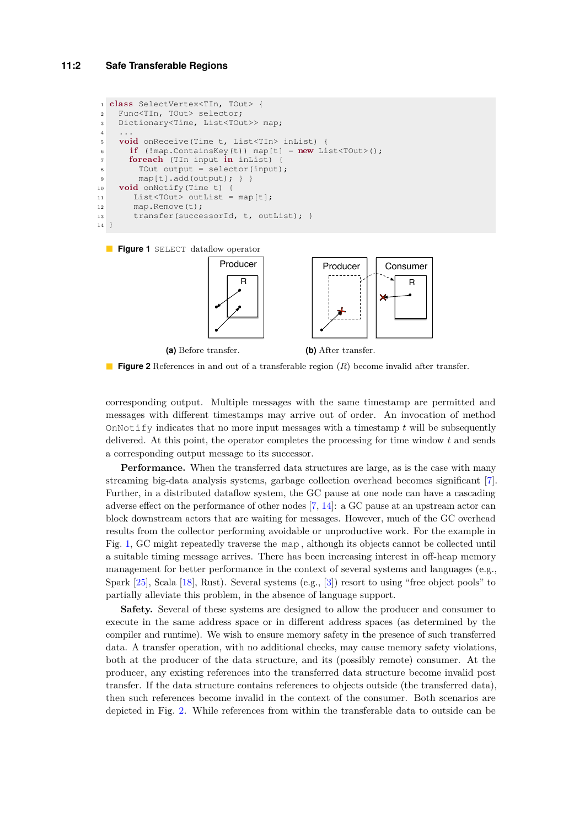```
1 c lass SelectVertex<TIn, TOut> {
2 Func<TIn, TOut> selector;
3 Dictionary<Time, List<TOut>> map;
4 ...
5 void onReceive(Time t, List<TIn> inList) {
\mathbf{if} (!map.ContainsKey(t)) map[t] = new List<TOut>();
7 foreach (TIn input in inList) {
8 TOut output = selector(input);
9 map[t].add(output); } }
10 void onNotify(Time t) {
11 List<TOut> outList = map[t];
12 map.Remove(t);
13 transfer(successorId, t, outList); }
14
```
<span id="page-1-1"></span>



**Figure 2** References in and out of a transferable region (*R*) become invalid after transfer.

corresponding output. Multiple messages with the same timestamp are permitted and messages with different timestamps may arrive out of order. An invocation of method OnNotify indicates that no more input messages with a timestamp *t* will be subsequently delivered. At this point, the operator completes the processing for time window *t* and sends a corresponding output message to its successor.

**Performance.** When the transferred data structures are large, as is the case with many streaming big-data analysis systems, garbage collection overhead becomes significant [\[7\]](#page-24-0). Further, in a distributed dataflow system, the GC pause at one node can have a cascading adverse effect on the performance of other nodes [\[7,](#page-24-0) [14\]](#page-25-0): a GC pause at an upstream actor can block downstream actors that are waiting for messages. However, much of the GC overhead results from the collector performing avoidable or unproductive work. For the example in Fig. [1,](#page-1-0) GC might repeatedly traverse the map , although its objects cannot be collected until a suitable timing message arrives. There has been increasing interest in off-heap memory management for better performance in the context of several systems and languages (e.g., Spark [\[25\]](#page-26-0), Scala [\[18\]](#page-25-1), Rust). Several systems (e.g., [\[3\]](#page-24-1)) resort to using "free object pools" to partially alleviate this problem, in the absence of language support.

**Safety.** Several of these systems are designed to allow the producer and consumer to execute in the same address space or in different address spaces (as determined by the compiler and runtime). We wish to ensure memory safety in the presence of such transferred data. A transfer operation, with no additional checks, may cause memory safety violations, both at the producer of the data structure, and its (possibly remote) consumer. At the producer, any existing references into the transferred data structure become invalid post transfer. If the data structure contains references to objects outside (the transferred data), then such references become invalid in the context of the consumer. Both scenarios are depicted in Fig. [2.](#page-1-1) While references from within the transferable data to outside can be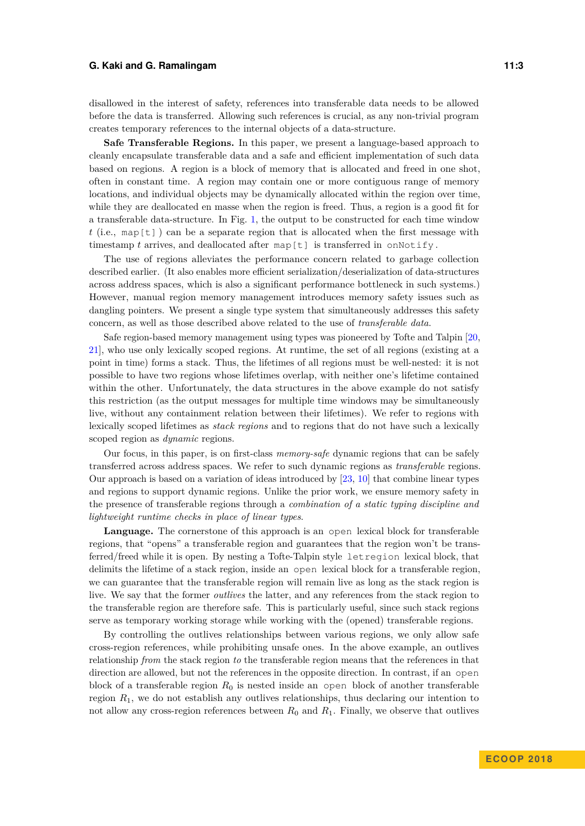disallowed in the interest of safety, references into transferable data needs to be allowed before the data is transferred. Allowing such references is crucial, as any non-trivial program creates temporary references to the internal objects of a data-structure.

**Safe Transferable Regions.** In this paper, we present a language-based approach to cleanly encapsulate transferable data and a safe and efficient implementation of such data based on regions. A region is a block of memory that is allocated and freed in one shot, often in constant time. A region may contain one or more contiguous range of memory locations, and individual objects may be dynamically allocated within the region over time, while they are deallocated en masse when the region is freed. Thus, a region is a good fit for a transferable data-structure. In Fig. [1,](#page-1-0) the output to be constructed for each time window *t* (i.e., map[t] ) can be a separate region that is allocated when the first message with timestamp  $t$  arrives, and deallocated after map  $[t]$  is transferred in onNotify.

The use of regions alleviates the performance concern related to garbage collection described earlier. (It also enables more efficient serialization/deserialization of data-structures across address spaces, which is also a significant performance bottleneck in such systems.) However, manual region memory management introduces memory safety issues such as dangling pointers. We present a single type system that simultaneously addresses this safety concern, as well as those described above related to the use of *transferable data*.

Safe region-based memory management using types was pioneered by Tofte and Talpin [\[20,](#page-25-2) [21\]](#page-25-3), who use only lexically scoped regions. At runtime, the set of all regions (existing at a point in time) forms a stack. Thus, the lifetimes of all regions must be well-nested: it is not possible to have two regions whose lifetimes overlap, with neither one's lifetime contained within the other. Unfortunately, the data structures in the above example do not satisfy this restriction (as the output messages for multiple time windows may be simultaneously live, without any containment relation between their lifetimes). We refer to regions with lexically scoped lifetimes as *stack regions* and to regions that do not have such a lexically scoped region as *dynamic* regions.

Our focus, in this paper, is on first-class *memory-safe* dynamic regions that can be safely transferred across address spaces. We refer to such dynamic regions as *transferable* regions. Our approach is based on a variation of ideas introduced by [\[23,](#page-25-4) [10\]](#page-24-2) that combine linear types and regions to support dynamic regions. Unlike the prior work, we ensure memory safety in the presence of transferable regions through a *combination of a static typing discipline and lightweight runtime checks in place of linear types*.

**Language.** The cornerstone of this approach is an open lexical block for transferable regions, that "opens" a transferable region and guarantees that the region won't be transferred/freed while it is open. By nesting a Tofte-Talpin style letregion lexical block, that delimits the lifetime of a stack region, inside an open lexical block for a transferable region, we can guarantee that the transferable region will remain live as long as the stack region is live. We say that the former *outlives* the latter, and any references from the stack region to the transferable region are therefore safe. This is particularly useful, since such stack regions serve as temporary working storage while working with the (opened) transferable regions.

By controlling the outlives relationships between various regions, we only allow safe cross-region references, while prohibiting unsafe ones. In the above example, an outlives relationship *from* the stack region *to* the transferable region means that the references in that direction are allowed, but not the references in the opposite direction. In contrast, if an open block of a transferable region *R*<sup>0</sup> is nested inside an open block of another transferable region *R*1, we do not establish any outlives relationships, thus declaring our intention to not allow any cross-region references between  $R_0$  and  $R_1$ . Finally, we observe that outlives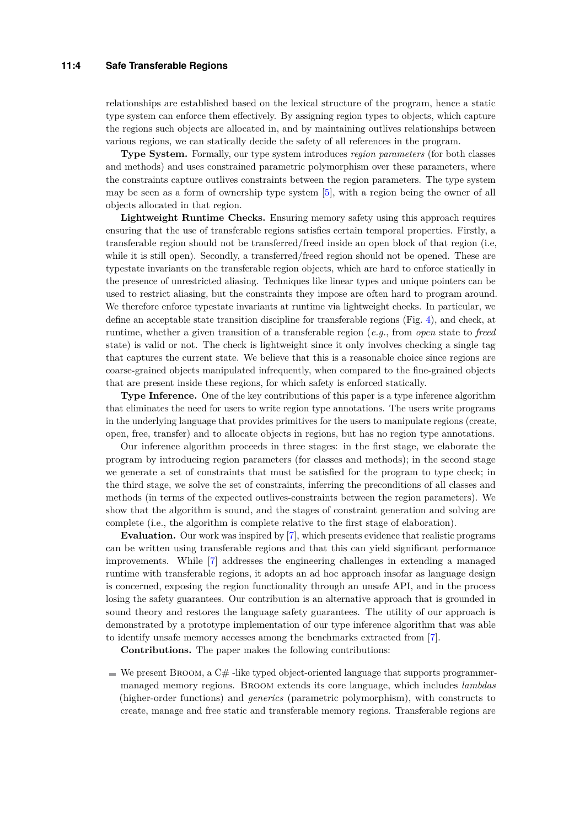#### **11:4 Safe Transferable Regions**

relationships are established based on the lexical structure of the program, hence a static type system can enforce them effectively. By assigning region types to objects, which capture the regions such objects are allocated in, and by maintaining outlives relationships between various regions, we can statically decide the safety of all references in the program.

**Type System.** Formally, our type system introduces *region parameters* (for both classes and methods) and uses constrained parametric polymorphism over these parameters, where the constraints capture outlives constraints between the region parameters. The type system may be seen as a form of ownership type system [\[5\]](#page-24-3), with a region being the owner of all objects allocated in that region.

**Lightweight Runtime Checks.** Ensuring memory safety using this approach requires ensuring that the use of transferable regions satisfies certain temporal properties. Firstly, a transferable region should not be transferred/freed inside an open block of that region (i.e, while it is still open). Secondly, a transferred/freed region should not be opened. These are typestate invariants on the transferable region objects, which are hard to enforce statically in the presence of unrestricted aliasing. Techniques like linear types and unique pointers can be used to restrict aliasing, but the constraints they impose are often hard to program around. We therefore enforce typestate invariants at runtime via lightweight checks. In particular, we define an acceptable state transition discipline for transferable regions (Fig. [4\)](#page-6-0), and check, at runtime, whether a given transition of a transferable region (*e.g.*, from *open* state to *freed* state) is valid or not. The check is lightweight since it only involves checking a single tag that captures the current state. We believe that this is a reasonable choice since regions are coarse-grained objects manipulated infrequently, when compared to the fine-grained objects that are present inside these regions, for which safety is enforced statically.

**Type Inference.** One of the key contributions of this paper is a type inference algorithm that eliminates the need for users to write region type annotations. The users write programs in the underlying language that provides primitives for the users to manipulate regions (create, open, free, transfer) and to allocate objects in regions, but has no region type annotations.

Our inference algorithm proceeds in three stages: in the first stage, we elaborate the program by introducing region parameters (for classes and methods); in the second stage we generate a set of constraints that must be satisfied for the program to type check; in the third stage, we solve the set of constraints, inferring the preconditions of all classes and methods (in terms of the expected outlives-constraints between the region parameters). We show that the algorithm is sound, and the stages of constraint generation and solving are complete (i.e., the algorithm is complete relative to the first stage of elaboration).

**Evaluation.** Our work was inspired by [\[7\]](#page-24-0), which presents evidence that realistic programs can be written using transferable regions and that this can yield significant performance improvements. While [\[7\]](#page-24-0) addresses the engineering challenges in extending a managed runtime with transferable regions, it adopts an ad hoc approach insofar as language design is concerned, exposing the region functionality through an unsafe API, and in the process losing the safety guarantees. Our contribution is an alternative approach that is grounded in sound theory and restores the language safety guarantees. The utility of our approach is demonstrated by a prototype implementation of our type inference algorithm that was able to identify unsafe memory accesses among the benchmarks extracted from [\[7\]](#page-24-0).

**Contributions.** The paper makes the following contributions:

 $\blacksquare$  We present BROOM, a C#-like typed object-oriented language that supports programmermanaged memory regions. Broom extends its core language, which includes *lambdas* (higher-order functions) and *generics* (parametric polymorphism), with constructs to create, manage and free static and transferable memory regions. Transferable regions are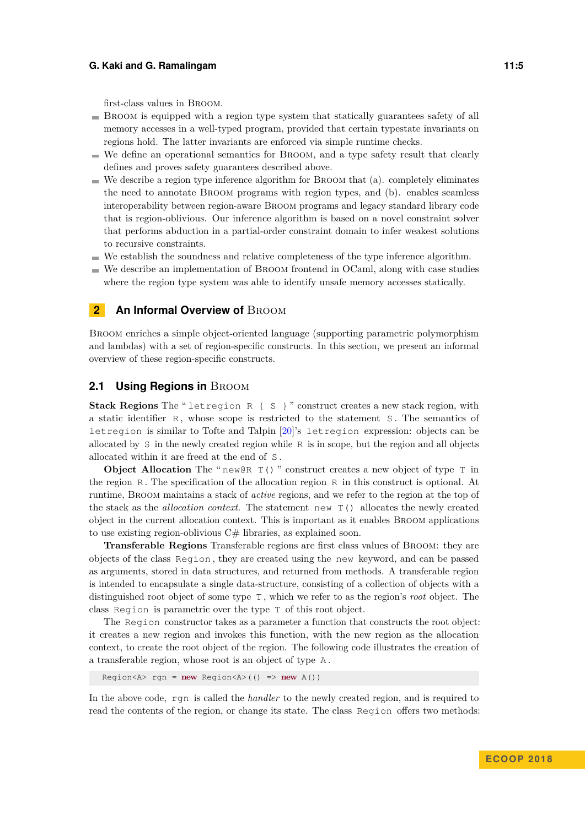first-class values in Broom.

- Broom is equipped with a region type system that statically guarantees safety of all memory accesses in a well-typed program, provided that certain typestate invariants on regions hold. The latter invariants are enforced via simple runtime checks.
- We define an operational semantics for Broom, and a type safety result that clearly defines and proves safety guarantees described above.
- $\blacksquare$  We describe a region type inference algorithm for BROOM that (a). completely eliminates the need to annotate Broom programs with region types, and (b). enables seamless interoperability between region-aware Broom programs and legacy standard library code that is region-oblivious. Our inference algorithm is based on a novel constraint solver that performs abduction in a partial-order constraint domain to infer weakest solutions to recursive constraints.
- $\blacksquare$  We establish the soundness and relative completeness of the type inference algorithm.
- We describe an implementation of Broom frontend in OCaml, along with case studies where the region type system was able to identify unsafe memory accesses statically.

### <span id="page-4-0"></span>**2** An Informal Overview of BROOM

Broom enriches a simple object-oriented language (supporting parametric polymorphism and lambdas) with a set of region-specific constructs. In this section, we present an informal overview of these region-specific constructs.

### <span id="page-4-1"></span>**2.1 Using Regions in BROOM**

**Stack Regions** The " letregion R { S } " construct creates a new stack region, with a static identifier R, whose scope is restricted to the statement S. The semantics of letregion is similar to Tofte and Talpin [\[20\]](#page-25-2)'s letregion expression: objects can be allocated by S in the newly created region while R is in scope, but the region and all objects allocated within it are freed at the end of S .

**Object Allocation** The " $new@R T()$ " construct creates a new object of type  $T$  in the region R . The specification of the allocation region R in this construct is optional. At runtime, Broom maintains a stack of *active* regions, and we refer to the region at the top of the stack as the *allocation context*. The statement new T() allocates the newly created object in the current allocation context. This is important as it enables Broom applications to use existing region-oblivious  $C#$  libraries, as explained soon.

**Transferable Regions** Transferable regions are first class values of Broom: they are objects of the class Region , they are created using the new keyword, and can be passed as arguments, stored in data structures, and returned from methods. A transferable region is intended to encapsulate a single data-structure, consisting of a collection of objects with a distinguished root object of some type T , which we refer to as the region's *root* object. The class Region is parametric over the type T of this root object.

The Region constructor takes as a parameter a function that constructs the root object: it creates a new region and invokes this function, with the new region as the allocation context, to create the root object of the region. The following code illustrates the creation of a transferable region, whose root is an object of type A .

Region<A> rgn = **new** Region<A>(() => **new** A())

In the above code, rgn is called the *handler* to the newly created region, and is required to read the contents of the region, or change its state. The class Region offers two methods: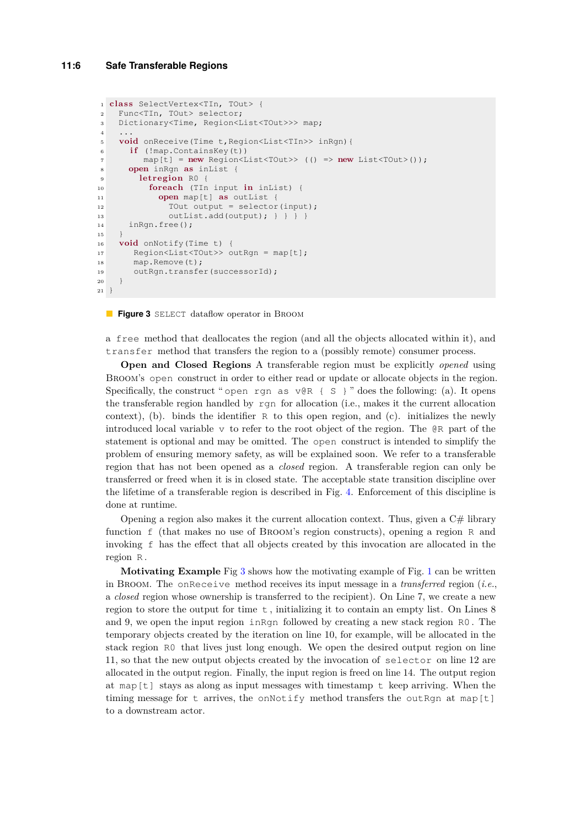```
1 c lass SelectVertex<TIn, TOut> {
2 Func<TIn, TOut> selector;
3 Dictionary<Time, Region<List<TOut>>> map;
4 ...
5 void onReceive(Time t,Region<List<TIn>> inRgn){
6 if (!map.ContainsKey(t))
7 map[t] = new Region<List<TOut>> (() => new List<TOut>());
8 open inRgn as inList {
9 letregion R0 {
10 foreach (TIn input in inList) {
11 open map[t] as outList {
12 TOut output = selector(input);
13 outList.add(output); } } } }
14 inRgn.free();
15 }
16 void onNotify(Time t) {
17 Region<List<TOut>> outRgn = map[t];
18 map.Remove(t);
19 outRgn.transfer(successorId);
20 }
21 }
```
#### **Figure 3** SELECT dataflow operator in BROOM

a free method that deallocates the region (and all the objects allocated within it), and transfer method that transfers the region to a (possibly remote) consumer process.

**Open and Closed Regions** A transferable region must be explicitly *opened* using Broom's open construct in order to either read or update or allocate objects in the region. Specifically, the construct " open rgn as  $\nabla \otimes R \{ S \}$ " does the following: (a). It opens the transferable region handled by rgn for allocation (i.e., makes it the current allocation context), (b). binds the identifier  $R$  to this open region, and (c). initializes the newly introduced local variable v to refer to the root object of the region. The  $QR$  part of the statement is optional and may be omitted. The open construct is intended to simplify the problem of ensuring memory safety, as will be explained soon. We refer to a transferable region that has not been opened as a *closed* region. A transferable region can only be transferred or freed when it is in closed state. The acceptable state transition discipline over the lifetime of a transferable region is described in Fig. [4.](#page-6-0) Enforcement of this discipline is done at runtime.

Opening a region also makes it the current allocation context. Thus, given a  $C#$  library function f (that makes no use of Broom's region constructs), opening a region R and invoking f has the effect that all objects created by this invocation are allocated in the region R .

**Motivating Example** Fig [3](#page-5-0) shows how the motivating example of Fig. [1](#page-1-0) can be written in Broom. The onReceive method receives its input message in a *transferred* region (*i.e.*, a *closed* region whose ownership is transferred to the recipient). On Line 7, we create a new region to store the output for time  $t$ , initializing it to contain an empty list. On Lines  $8$ and 9, we open the input region inRgn followed by creating a new stack region R0 . The temporary objects created by the iteration on line 10, for example, will be allocated in the stack region R0 that lives just long enough. We open the desired output region on line 11, so that the new output objects created by the invocation of selector on line 12 are allocated in the output region. Finally, the input region is freed on line 14. The output region at map $[t]$  stays as along as input messages with timestamp t keep arriving. When the timing message for t arrives, the onNotify method transfers the outRgn at map[t] to a downstream actor.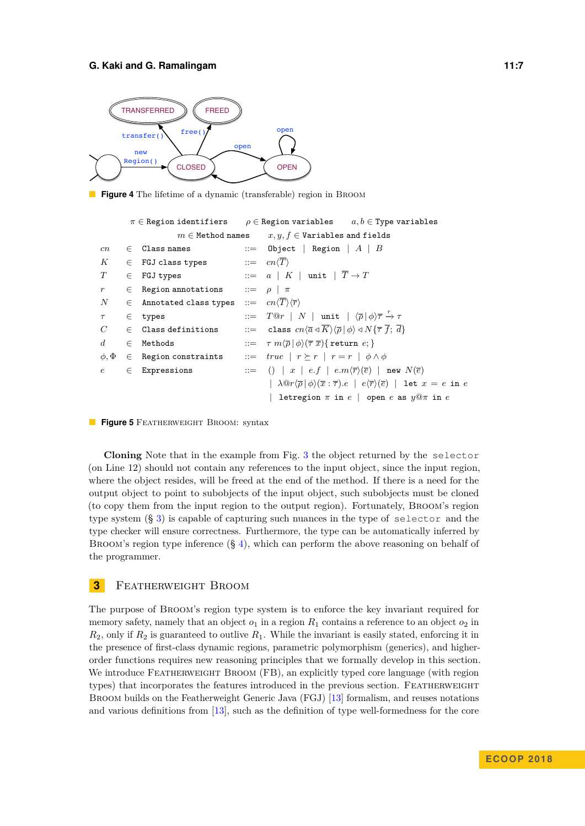<span id="page-6-0"></span>

<span id="page-6-2"></span>**Figure 4** The lifetime of a dynamic (transferable) region in BROOM

```
π ∈ Region identifiers ρ ∈ Region variables a, b ∈ Type variables
                          m \in Method names x, y, f \in Variables and fields
cn \in Class names ::= Object | Region | A | B
K ∈ FGJ class types ::= cn\langle \overline{T} \rangleT \in \texttt{FGJ types} ::= a \mid K \mid \texttt{unit} \mid \overline{T} \rightarrow Tr \in Region annotations ::= ρ | π
N ∈ Annotated class types ::= cn\langle \overline{T}\rangle \langle \overline{r}\rangle\tau ∈ types ::= T@r|N| unit |\langle \overline{\rho} | \phi \rangle \overline{\tau} \xrightarrow{r} \tauC \in Class definitions ::= class cn\langle \overline{a} \triangleleft \overline{K} \rangle \langle \overline{\rho} | \phi \rangle \triangleleft N \{ \overline{\tau} \}, \overline{d} \}d ∈ Methods ::= \tau m \langle \overline{\rho} | \phi \rangle (\overline{\tau} \overline{x}) \{ \text{return } e \}\phi, \Phi \in Region constraints ::= true | r \geq r | r = r | \phi \wedge \phie ∈ Expressions ::= () | x | e.f | e.m\langle \overline{r} \rangle(\overline{e}) | new N(\overline{e})|\lambda \mathbb{Q}r \langle \overline{\rho} | \phi \rangle (\overline{x} : \overline{\tau}).e \mid e \langle \overline{r} \rangle (\overline{e}) | let x = e in e| letregion π in e | open e as y@π in e
```


**Cloning** Note that in the example from Fig. [3](#page-5-0) the object returned by the selector (on Line 12) should not contain any references to the input object, since the input region, where the object resides, will be freed at the end of the method. If there is a need for the output object to point to subobjects of the input object, such subobjects must be cloned (to copy them from the input region to the output region). Fortunately, Broom's region type system (§ [3\)](#page-6-1) is capable of capturing such nuances in the type of selector and the type checker will ensure correctness. Furthermore, the type can be automatically inferred by BROOM's region type inference  $(\frac{6}{9}4)$  $(\frac{6}{9}4)$ , which can perform the above reasoning on behalf of the programmer.

### <span id="page-6-1"></span>**3** FEATHERWEIGHT BROOM

The purpose of Broom's region type system is to enforce the key invariant required for memory safety, namely that an object  $o_1$  in a region  $R_1$  contains a reference to an object  $o_2$  in *R*2, only if *R*<sup>2</sup> is guaranteed to outlive *R*1. While the invariant is easily stated, enforcing it in the presence of first-class dynamic regions, parametric polymorphism (generics), and higherorder functions requires new reasoning principles that we formally develop in this section. We introduce FEATHERWEIGHT BROOM (FB), an explicitly typed core language (with region types) that incorporates the features introduced in the previous section. FEATHERWEIGHT Broom builds on the Featherweight Generic Java (FGJ) [\[13\]](#page-25-5) formalism, and reuses notations and various definitions from [\[13\]](#page-25-5), such as the definition of type well-formedness for the core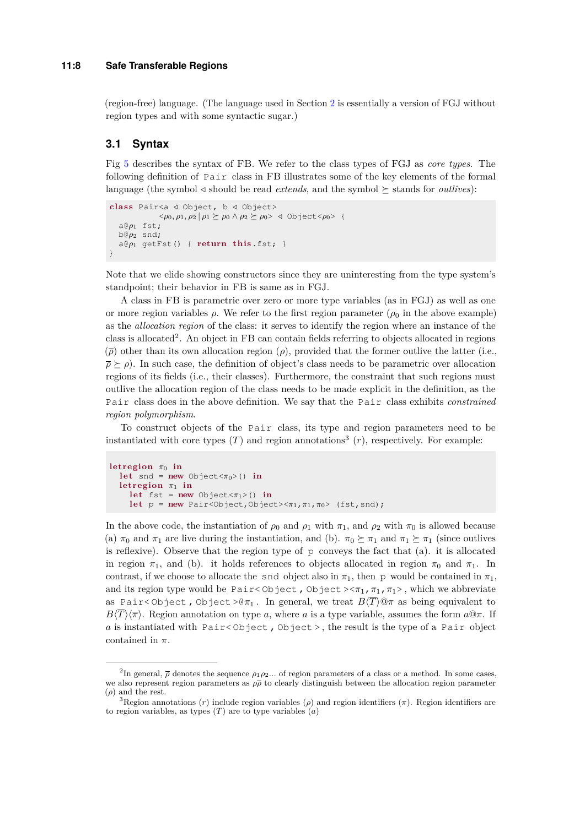#### **11:8 Safe Transferable Regions**

(region-free) language. (The language used in Section [2](#page-4-0) is essentially a version of FGJ without region types and with some syntactic sugar.)

### **3.1 Syntax**

Fig [5](#page-6-2) describes the syntax of FB. We refer to the class types of FGJ as *core types*. The following definition of Pair class in FB illustrates some of the key elements of the formal language (the symbol  $\triangleleft$  should be read *extends*, and the symbol  $\succeq$  stands for *outlives*):

```
c lass Pair<a / Object, b / Object>
                    \langle \varphi_0, \varphi_1, \varphi_2 | \varphi_1 \succeq \varphi_0 \wedge \varphi_2 \succeq \varphi_0 \rangle \triangleleft Object\langle \varphi_0 \rangle {
    a@ρ1 fst;
   b@ρ2 snd;
    a \&e \rho_1 getFst() { return this.fst; }
}
```
Note that we elide showing constructors since they are uninteresting from the type system's standpoint; their behavior in FB is same as in FGJ.

A class in FB is parametric over zero or more type variables (as in FGJ) as well as one or more region variables  $\rho$ . We refer to the first region parameter ( $\rho_0$  in the above example) as the *allocation region* of the class: it serves to identify the region where an instance of the class is allocated<sup>2</sup>. An object in FB can contain fields referring to objects allocated in regions  $(\bar{\rho})$  other than its own allocation region  $(\rho)$ , provided that the former outlive the latter (i.e.,  $\bar{\rho} \geq \rho$ ). In such case, the definition of object's class needs to be parametric over allocation regions of its fields (i.e., their classes). Furthermore, the constraint that such regions must outlive the allocation region of the class needs to be made explicit in the definition, as the Pair class does in the above definition. We say that the Pair class exhibits *constrained region polymorphism*.

To construct objects of the Pair class, its type and region parameters need to be instantiated with core types  $(T)$  and region annotations<sup>3</sup>  $(r)$ , respectively. For example:

```
letreg ion π0 in
  let snd = new Object<\pi_0>() in
  letregion \pi_1 in
     let fst = new Object<\pi_1>() in
     let p = new Pair < 0bject, 0bject>\lt \pi_1, \pi_1, \pi_0> (fst, snd);
```
In the above code, the instantiation of  $\rho_0$  and  $\rho_1$  with  $\pi_1$ , and  $\rho_2$  with  $\pi_0$  is allowed because (a)  $\pi_0$  and  $\pi_1$  are live during the instantiation, and (b).  $\pi_0 \succeq \pi_1$  and  $\pi_1 \succeq \pi_1$  (since outlives is reflexive). Observe that the region type of p conveys the fact that (a). it is allocated in region  $\pi_1$ , and (b). it holds references to objects allocated in region  $\pi_0$  and  $\pi_1$ . In contrast, if we choose to allocate the snd object also in  $\pi_1$ , then p would be contained in  $\pi_1$ , and its region type would be Pair<Object, Object  $>\pi_1$ ,  $\pi_1$ ,  $\pi_1$ ), which we abbreviate as Pair<0bject, 0bject > $\theta \pi_1$ . In general, we treat  $B\langle \overline{T} \rangle \mathbb{Q} \pi$  as being equivalent to  $B\langle \overline{T}\rangle \langle \overline{\pi}\rangle$ . Region annotation on type *a*, where *a* is a type variable, assumes the form  $a@$ *π*. If *a* is instantiated with Pair< Object , Object > , the result is the type of a Pair object contained in *π*.

<sup>&</sup>lt;sup>2</sup>In general,  $\bar{\rho}$  denotes the sequence  $\rho_1 \rho_2$ ... of region parameters of a class or a method. In some cases, we also represent region parameters as *ρρ* to clearly distinguish between the allocation region parameter (*ρ*) and the rest.

<sup>&</sup>lt;sup>3</sup>Region annotations  $(r)$  include region variables  $(\rho)$  and region identifiers  $(\pi)$ . Region identifiers are to region variables, as types (*T*) are to type variables (*a*)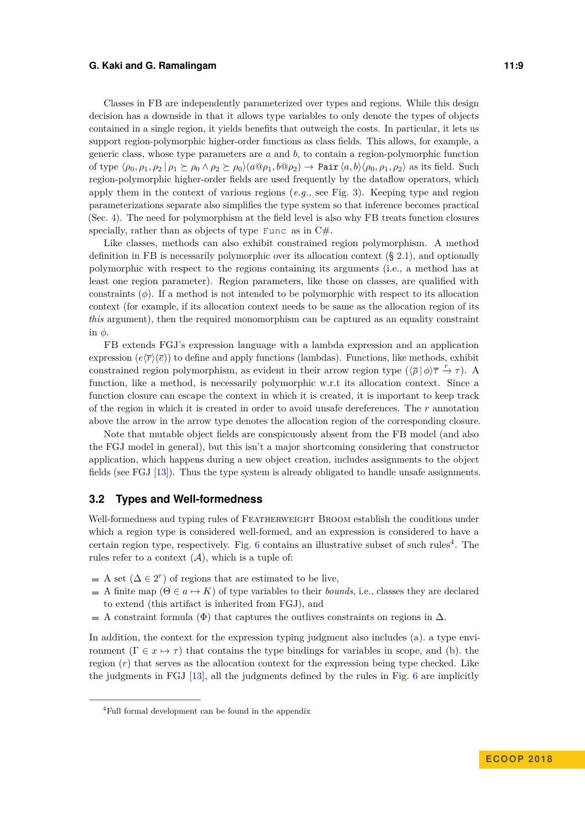Classes in FB are independently parameterized over types and regions. While this design decision has a downside in that it allows type variables to only denote the types of objects contained in a single region, it yields benefits that outweigh the costs. In particular, it lets us support region-polymorphic higher-order functions as class fields. This allows, for example, a generic class, whose type parameters are *a* and *b*, to contain a region-polymorphic function of type  $\langle \rho_0, \rho_1, \rho_2 | \rho_1 \rangle \geq \rho_0 \wedge \rho_2 \geq \rho_0 \langle a \mathbb{Q} \rho_1, b \mathbb{Q} \rho_2 \rangle \rightarrow$  Pair  $\langle a, b \rangle \langle \rho_0, \rho_1, \rho_2 \rangle$  as its field. Such region-polymorphic higher-order fields are used frequently by the dataflow operators, which apply them in the context of various regions (*e.g.,* see Fig. [3\)](#page-5-0). Keeping type and region parameterizations separate also simplifies the type system so that inference becomes practical (Sec. [4\)](#page-12-0). The need for polymorphism at the field level is also why FB treats function closures specially, rather than as objects of type Func as in C#.

Like classes, methods can also exhibit constrained region polymorphism. A method definition in FB is necessarily polymorphic over its allocation context  $(\S 2.1)$  $(\S 2.1)$ , and optionally polymorphic with respect to the regions containing its arguments (i.e., a method has at least one region parameter). Region parameters, like those on classes, are qualified with constraints (*φ*). If a method is not intended to be polymorphic with respect to its allocation context (for example, if its allocation context needs to be same as the allocation region of its *this* argument), then the required monomorphism can be captured as an equality constraint in *φ*.

FB extends FGJ's expression language with a lambda expression and an application expression  $(e\langle \overline{r}\rangle(\overline{e}))$  to define and apply functions (lambdas). Functions, like methods, exhibit constrained region polymorphism, as evident in their arrow region type  $(\sqrt{\rho} | \phi \rangle \overline{\tau} \overset{r}{\rightarrow} \tau)$ . A function, like a method, is necessarily polymorphic w.r.t its allocation context. Since a function closure can escape the context in which it is created, it is important to keep track of the region in which it is created in order to avoid unsafe dereferences. The *r* annotation above the arrow in the arrow type denotes the allocation region of the corresponding closure.

Note that mutable object fields are conspicuously absent from the FB model (and also the FGJ model in general), but this isn't a major shortcoming considering that constructor application, which happens during a new object creation, includes assignments to the object fields (see FGJ [\[13\]](#page-25-5)). Thus the type system is already obligated to handle unsafe assignments.

#### **3.2 Types and Well-formedness**

Well-formedness and typing rules of FEATHERWEIGHT BROOM establish the conditions under which a region type is considered well-formed, and an expression is considered to have a certain region type, respectively. Fig.  $6$  contains an illustrative subset of such rules<sup>4</sup>. The rules refer to a context  $(A)$ , which is a tuple of:

- A set  $(\Delta \in 2^r)$  of regions that are estimated to be live,
- A finite map  $(\Theta \in a \mapsto K)$  of type variables to their *bounds*, i.e., classes they are declared to extend (this artifact is inherited from FGJ), and
- A constraint formula ( $\Phi$ ) that captures the outlives constraints on regions in  $\Delta$ .

In addition, the context for the expression typing judgment also includes (a). a type environment  $(\Gamma \in x \mapsto \tau)$  that contains the type bindings for variables in scope, and (b). the region (*r*) that serves as the allocation context for the expression being type checked. Like the judgments in FGJ [\[13\]](#page-25-5), all the judgments defined by the rules in Fig. [6](#page-9-0) are implicitly

<sup>4</sup>Full formal development can be found in the appendix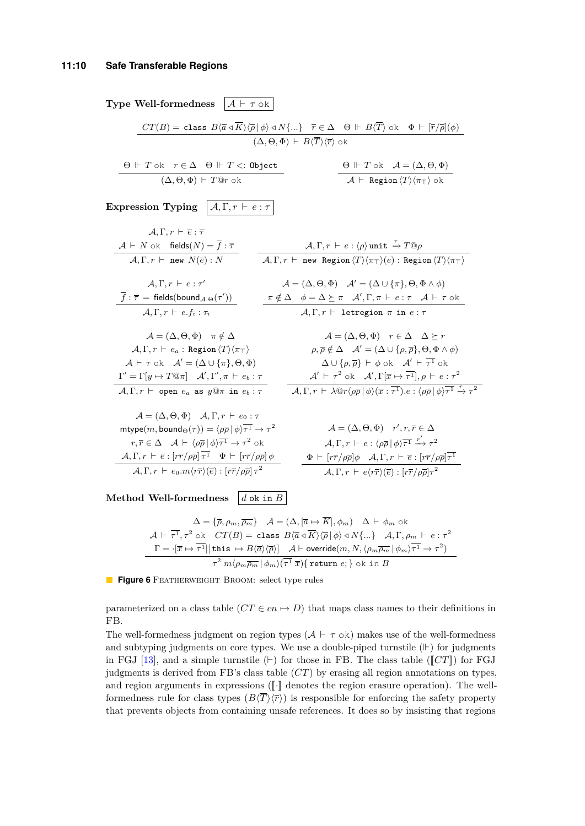<span id="page-9-0"></span>**Type Well-formedness**  $\mathcal{A} \vdash \tau$  ok  $CT(B) = \text{ class } B\langle \overline{a} \triangleleft \overline{K} \rangle \langle \overline{\rho} | \phi \rangle \triangleleft N\{... \}$   $\overline{r} \in \Delta \quad \Theta \Vdash B\langle \overline{T} \rangle \text{ ok } \Phi \vdash [\overline{r}/\overline{\rho}](\phi)$  $(\Delta, \Theta, \Phi)$   $\vdash$   $B\langle T\rangle\langle\overline{r}\rangle$  ok  $\Theta \Vdash T$  ok  $r \in \Delta$   $\Theta \Vdash T$  <: Object  $(\Delta, \Theta, \Phi) \vdash T@r$  ok  $\Theta \Vdash T$  ok  $\mathcal{A} = (\Delta, \Theta, \Phi)$  $\mathcal{A} \;\vdash\; \mathsf{Region}\,\langle T\rangle\langle\pi_\top\rangle$  ok **Expression Typing**  $\boxed{A, \Gamma, r \vdash e : \tau}$  $A, \Gamma, r \vdash \overline{e} : \overline{\tau}$  $\mathcal{A} \vdash N$  ok fields $(N) = f : \overline{\tau}$  $\mathcal{A}, \Gamma, r \;\vdash\; \texttt{new} \;\, N(\overline{e}) : N$  $\mathcal{A}, \Gamma, r \,\vdash\, e : \langle \rho \rangle$  unit  $\stackrel{r}{\to} T@ \rho$  $\mathcal{A}, \Gamma, r \;\vdash\; \texttt{new}$  Region $\langle T\rangle \langle \pi_\top \rangle(e)$ : Region $\langle T\rangle \langle \pi_\top \rangle$  $\mathcal{A}, \Gamma, r \vdash e : \tau'$  $\overline{f}$  :  $\overline{\tau}$  = fields(bound $_{\mathcal{A}.\Theta}(\tau'))$  $\mathcal{A}, \Gamma, r \vdash e.f_i : \tau_i$  $\mathcal{A} = (\Delta, \Theta, \Phi)$   $\mathcal{A}' = (\Delta \cup {\{\pi\}, \Theta, \Phi \wedge \phi\})$ *π*  $\notin$  Δ  $\not=$  Δ  $\succeq$  *π*  $\mathcal{A}', \Gamma, \pi \vdash e : \tau$   $\mathcal{A} \vdash \tau$  ok  $\mathcal{A}, \Gamma, r \vdash$  letregion  $\pi$  in  $e : \tau$  $\mathcal{A} = (\Delta, \Theta, \Phi)$   $\pi \notin \Delta$  $\mathcal{A}, \Gamma, r \;\vdash\; e_a :$  Region  $\langle T \rangle \langle \pi_\top \rangle$  $\mathcal{A} \vdash \tau$  ok  $\mathcal{A}' = (\Delta \cup \{\pi\}, \Theta, \Phi)$  $\Gamma' = \Gamma[y \mapsto T \mathbb{Q} \pi]$   $\mathcal{A}', \Gamma', \pi \vdash e_b : \tau$  $\mathcal{A}, \Gamma, r \;\vdash\;$  open  $e_a$  as  $y@ \pi$  in  $e_b : \pi$  $\mathcal{A} = (\Delta, \Theta, \Phi)$   $r \in \Delta \Delta \succ r$  $\rho, \overline{\rho} \notin \Delta \quad \mathcal{A}' = (\Delta \cup \{\rho, \overline{\rho}\}, \Theta, \Phi \wedge \phi)$  $\Delta \cup \{\rho, \overline{\rho}\}\vdash \phi$  ok  $\mathcal{A}' \vdash \overline{\tau^1}$  ok  $\mathcal{A}' \vdash \tau^2$  ok  $\mathcal{A}', \Gamma[\overline{x} \mapsto \overline{\tau^1}], \rho \vdash e : \tau^2$  $\mathcal{A}, \Gamma, r \vdash \lambda \mathbb{Q}r \langle \rho \overline{\rho} | \phi \rangle (\overline{x} : \overline{\tau^1}).e : \langle \rho \overline{\rho} | \phi \rangle \overline{\tau^1} \xrightarrow{r} \tau^2$  $\mathcal{A} = (\Delta, \Theta, \Phi)$   $\mathcal{A}, \Gamma, r \vdash e_0 : \tau$  $\mathsf{mtype}(m,\mathsf{bound}_{\Theta}(\tau)) = \bra{\rho\overline{\rho}} \ket{\phi}\overline{\tau^1} \to \tau^2$  $r, \overline{r} \in \Delta \quad \mathcal{A} \vdash \langle \rho \overline{\rho} | \phi \rangle \overline{\tau^1} \to \tau^2 \text{ ok}$  $\mathcal{A}, \Gamma, r \,\vdash\, \overline{e} : [r\overline{r}/\rho\overline{\rho}]\, \tau^1 \quad \Phi \,\vdash\, [r\overline{r}/\rho\overline{\rho}]\, \phi$  $\mathcal{A}, \Gamma, r \ \vdash \ e_0.m\langle r\overline{r}\rangle(\overline{e}):\left[r\overline{r}/\rho\overline{\rho}\right]\tau^2$  $\mathcal{A} = (\Delta, \Theta, \Phi)$   $r', r, \overline{r} \in \Delta$  $\mathcal{A}, \Gamma, r \vdash e : \langle \rho \overline{\rho} | \phi \rangle \overline{\tau^1} \xrightarrow{r'} \tau^2$  $\Phi \vdash [r\bar{r}/\rho\bar{\rho}]\phi \quad \mathcal{A}, \Gamma, r \vdash \bar{e} : [r\bar{r}/\rho\bar{\rho}]\tau^1$  $\mathcal{A}, \Gamma, r \vdash e\langle r\overline{r}\rangle(\overline{e}) : [r\overline{r}/\rho\overline{\rho}]\tau^2$ 

**Method Well-formedness**  $d \circ k$  in *B* 

$$
\Delta = \{\overline{\rho}, \rho_m, \overline{\rho_m}\} \quad \mathcal{A} = (\Delta, [\overline{a} \mapsto \overline{K}], \phi_m) \quad \Delta \vdash \phi_m \text{ ok}
$$
\n
$$
\mathcal{A} \vdash \overline{\tau^1}, \tau^2 \text{ ok } CT(B) = \text{class } B \langle \overline{a} \triangleleft \overline{K} \rangle \langle \overline{\rho} | \phi \rangle \triangleleft N \{...\} \quad \mathcal{A}, \Gamma, \rho_m \vdash e : \tau^2
$$
\n
$$
\Gamma = \left[ \overline{x} \mapsto \overline{\tau^1} \right] \left[ \text{this } \mapsto B \langle \overline{a} \rangle \langle \overline{\rho} \rangle \right] \quad \mathcal{A} \vdash \text{override}(m, N, \langle \rho_m \overline{\rho_m} | \phi_m \rangle \overline{\tau^1} \to \tau^2)
$$
\n
$$
\tau^2 \, m \langle \rho_m \overline{\rho_m} | \phi_m \rangle \langle \overline{\tau^1} | \overline{x} \rangle \{ \text{return } e; \} \text{ ok in } B
$$

**Figure 6** FEATHERWEIGHT BROOM: select type rules

parameterized on a class table  $(CT \in cn \rightarrow D)$  that maps class names to their definitions in FB.

The well-formedness judgment on region types  $(A \vdash \tau \circ k)$  makes use of the well-formedness and subtyping judgments on core types. We use a double-piped turnstile  $(\Vdash)$  for judgments in FGJ [\[13\]](#page-25-5), and a simple turnstile  $(\vdash)$  for those in FB. The class table ( $\llbracket CT \rrbracket$ ) for FGJ judgments is derived from FB's class table (*CT*) by erasing all region annotations on types, and region arguments in expressions  $(\lceil \cdot \rceil)$  denotes the region erasure operation). The wellformedness rule for class types  $(B\langle \overline{T}\rangle\langle \overline{r}\rangle)$  is responsible for enforcing the safety property that prevents objects from containing unsafe references. It does so by insisting that regions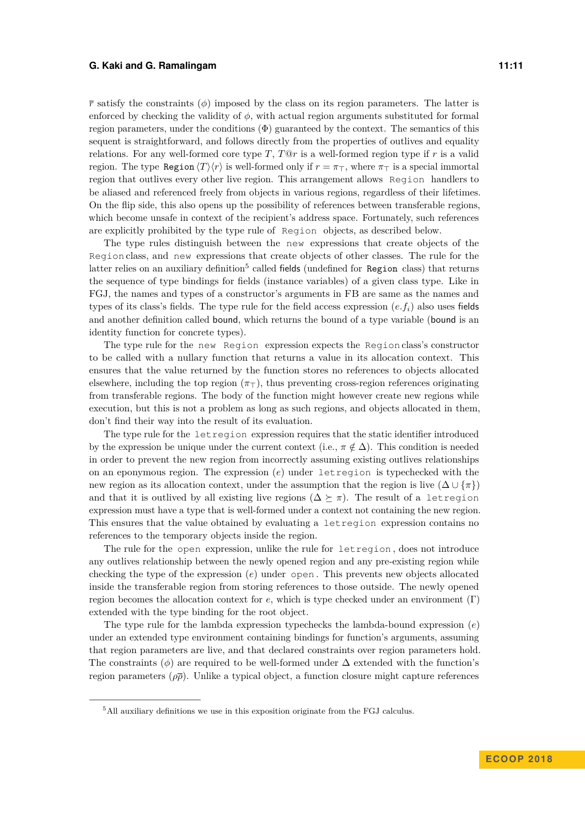$\bar{r}$  satisfy the constraints ( $\phi$ ) imposed by the class on its region parameters. The latter is enforced by checking the validity of  $\phi$ , with actual region arguments substituted for formal region parameters, under the conditions  $(\Phi)$  guaranteed by the context. The semantics of this sequent is straightforward, and follows directly from the properties of outlives and equality relations. For any well-formed core type *T*, *T*@*r* is a well-formed region type if *r* is a valid region. The type Region  $\langle T \rangle \langle r \rangle$  is well-formed only if  $r = \pi<sub>T</sub>$ , where  $\pi<sub>T</sub>$  is a special immortal region that outlives every other live region. This arrangement allows Region handlers to be aliased and referenced freely from objects in various regions, regardless of their lifetimes. On the flip side, this also opens up the possibility of references between transferable regions, which become unsafe in context of the recipient's address space. Fortunately, such references are explicitly prohibited by the type rule of Region objects, as described below.

The type rules distinguish between the new expressions that create objects of the Region class, and new expressions that create objects of other classes. The rule for the latter relies on an auxiliary definition<sup>5</sup> called fields (undefined for Region class) that returns the sequence of type bindings for fields (instance variables) of a given class type. Like in FGJ, the names and types of a constructor's arguments in FB are same as the names and types of its class's fields. The type rule for the field access expression  $(e, f<sub>i</sub>)$  also uses fields and another definition called bound, which returns the bound of a type variable (bound is an identity function for concrete types).

The type rule for the new Region expression expects the Region class's constructor to be called with a nullary function that returns a value in its allocation context. This ensures that the value returned by the function stores no references to objects allocated elsewhere, including the top region  $(\pi_{\perp})$ , thus preventing cross-region references originating from transferable regions. The body of the function might however create new regions while execution, but this is not a problem as long as such regions, and objects allocated in them, don't find their way into the result of its evaluation.

The type rule for the letregion expression requires that the static identifier introduced by the expression be unique under the current context (i.e.,  $\pi \notin \Delta$ ). This condition is needed in order to prevent the new region from incorrectly assuming existing outlives relationships on an eponymous region. The expression (*e*) under letregion is typechecked with the new region as its allocation context, under the assumption that the region is live  $(\Delta \cup \{\pi\})$ and that it is outlived by all existing live regions  $(\Delta \succeq \pi)$ . The result of a letregion expression must have a type that is well-formed under a context not containing the new region. This ensures that the value obtained by evaluating a letregion expression contains no references to the temporary objects inside the region.

The rule for the open expression, unlike the rule for letregion , does not introduce any outlives relationship between the newly opened region and any pre-existing region while checking the type of the expression (*e*) under open . This prevents new objects allocated inside the transferable region from storing references to those outside. The newly opened region becomes the allocation context for *e*, which is type checked under an environment (Γ) extended with the type binding for the root object.

The type rule for the lambda expression typechecks the lambda-bound expression (*e*) under an extended type environment containing bindings for function's arguments, assuming that region parameters are live, and that declared constraints over region parameters hold. The constraints ( $\phi$ ) are required to be well-formed under  $\Delta$  extended with the function's region parameters  $(\rho \bar{\rho})$ . Unlike a typical object, a function closure might capture references

<sup>&</sup>lt;sup>5</sup>All auxiliary definitions we use in this exposition originate from the FGJ calculus.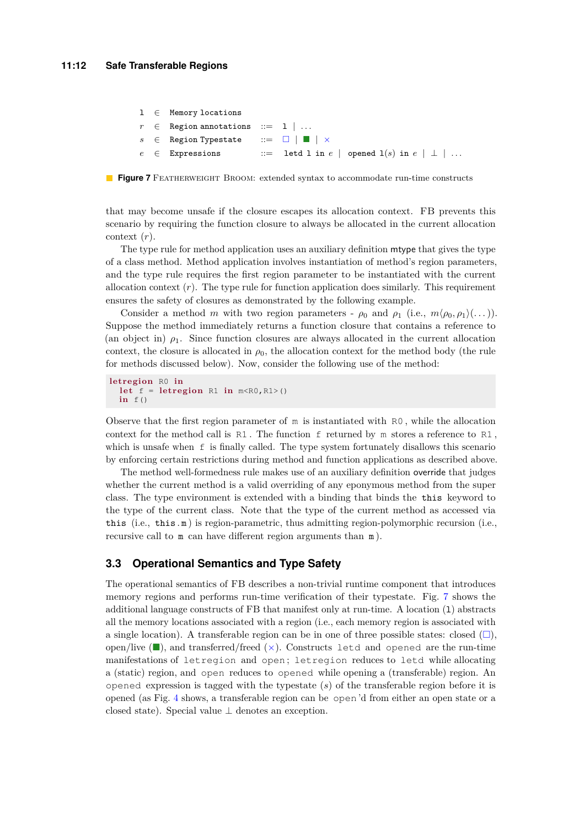<span id="page-11-0"></span>

|  | $1 \in$ Memory locations                                |                                                           |  |
|--|---------------------------------------------------------|-----------------------------------------------------------|--|
|  | $r \in$ Region annotations ::= 1                        |                                                           |  |
|  | $s \in$ Region Typestate ::= $\Box$   $\Box$   $\times$ |                                                           |  |
|  | $e \in$ Expressions                                     | $\therefore$ letd 1 in $e$   opened 1(s) in $e$   $\perp$ |  |

**Figure 7** FEATHERWEIGHT BROOM: extended syntax to accommodate run-time constructs

that may become unsafe if the closure escapes its allocation context. FB prevents this scenario by requiring the function closure to always be allocated in the current allocation context (*r*).

The type rule for method application uses an auxiliary definition mtype that gives the type of a class method. Method application involves instantiation of method's region parameters, and the type rule requires the first region parameter to be instantiated with the current allocation context  $(r)$ . The type rule for function application does similarly. This requirement ensures the safety of closures as demonstrated by the following example.

Consider a method *m* with two region parameters -  $\rho_0$  and  $\rho_1$  (i.e.,  $m \langle \rho_0, \rho_1 \rangle (\dots)$ ). Suppose the method immediately returns a function closure that contains a reference to (an object in)  $\rho_1$ . Since function closures are always allocated in the current allocation context, the closure is allocated in  $\rho_0$ , the allocation context for the method body (the rule for methods discussed below). Now, consider the following use of the method:

```
letreg ion R0 in
  let f = let region R1 in m < R0, R1 > ()in f()
```
Observe that the first region parameter of m is instantiated with R0 , while the allocation context for the method call is  $R1$ . The function f returned by m stores a reference to  $R1$ , which is unsafe when  $f$  is finally called. The type system fortunately disallows this scenario by enforcing certain restrictions during method and function applications as described above.

The method well-formedness rule makes use of an auxiliary definition override that judges whether the current method is a valid overriding of any eponymous method from the super class. The type environment is extended with a binding that binds the this keyword to the type of the current class. Note that the type of the current method as accessed via this (i.e., this  $\mathbf{m}$ ) is region-parametric, thus admitting region-polymorphic recursion (i.e., recursive call to m can have different region arguments than m ).

### **3.3 Operational Semantics and Type Safety**

The operational semantics of FB describes a non-trivial runtime component that introduces memory regions and performs run-time verification of their typestate. Fig. [7](#page-11-0) shows the additional language constructs of FB that manifest only at run-time. A location (1) abstracts all the memory locations associated with a region (i.e., each memory region is associated with a single location). A transferable region can be in one of three possible states: closed  $(\square)$ , open/live  $(\blacksquare)$ , and transferred/freed  $(\times)$ . Constructs letd and opened are the run-time manifestations of letregion and open ; letregion reduces to letd while allocating a (static) region, and open reduces to opened while opening a (transferable) region. An opened expression is tagged with the typestate (*s*) of the transferable region before it is opened (as Fig. [4](#page-6-0) shows, a transferable region can be open 'd from either an open state or a closed state). Special value  $\perp$  denotes an exception.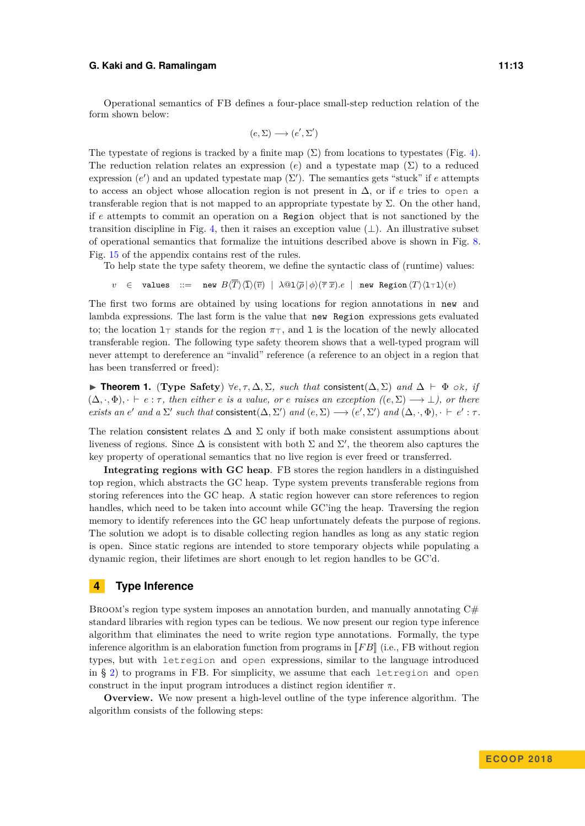Operational semantics of FB defines a four-place small-step reduction relation of the form shown below:

$$
(e, \Sigma) \longrightarrow (e', \Sigma')
$$

The typestate of regions is tracked by a finite map  $(\Sigma)$  from locations to typestates (Fig. [4\)](#page-6-0). The reduction relation relates an expression  $(e)$  and a typestate map  $(\Sigma)$  to a reduced expression  $(e')$  and an updated typestate map  $(\Sigma')$ . The semantics gets "stuck" if *e* attempts to access an object whose allocation region is not present in ∆, or if *e* tries to open a transferable region that is not mapped to an appropriate typestate by  $\Sigma$ . On the other hand, if *e* attempts to commit an operation on a Region object that is not sanctioned by the transition discipline in Fig. [4,](#page-6-0) then it raises an exception value  $(\perp)$ . An illustrative subset of operational semantics that formalize the intuitions described above is shown in Fig. [8.](#page-13-0) Fig. [15](#page-28-0) of the appendix contains rest of the rules.

To help state the type safety theorem, we define the syntactic class of (runtime) values:

*v* ∈ values ::= new  $B\langle \overline{T}\rangle\langle \overline{1}\rangle\langle \overline{v}\rangle$  |  $\lambda@1\langle \overline{\rho} | \phi\rangle\langle \overline{\tau} | \overline{x}\rangle.e$  | new Region  $\langle T\rangle\langle 1\tau 1\rangle(v)$ 

The first two forms are obtained by using locations for region annotations in new and lambda expressions. The last form is the value that new Region expressions gets evaluated to; the location  $1<sub>T</sub>$  stands for the region  $\pi<sub>T</sub>$ , and 1 is the location of the newly allocated transferable region. The following type safety theorem shows that a well-typed program will never attempt to dereference an "invalid" reference (a reference to an object in a region that has been transferred or freed):

**► Theorem 1.** (Type Safety)  $\forall e, \tau, \Delta, \Sigma$ , such that consistent( $\Delta, \Sigma$ ) and  $\Delta \vdash \Phi$  ok, if  $(\Delta, \cdot, \Phi)$ ,  $\cdot \vdash e : \tau$ , then either *e* is a value, or *e* raises an exception  $((e, \Sigma) \rightarrow \bot)$ , or there *exists an e' and a*  $\Sigma'$  *such that* consistent( $\Delta, \Sigma'$ ) *and*  $(e, \Sigma) \longrightarrow (e', \Sigma')$  *and*  $(\Delta, \cdot, \Phi)$ ,  $\vdash e' : \tau$ .

The relation consistent relates  $\Delta$  and  $\Sigma$  only if both make consistent assumptions about liveness of regions. Since  $\Delta$  is consistent with both  $\Sigma$  and  $\Sigma'$ , the theorem also captures the key property of operational semantics that no live region is ever freed or transferred.

**Integrating regions with GC heap**. FB stores the region handlers in a distinguished top region, which abstracts the GC heap. Type system prevents transferable regions from storing references into the GC heap. A static region however can store references to region handles, which need to be taken into account while GC'ing the heap. Traversing the region memory to identify references into the GC heap unfortunately defeats the purpose of regions. The solution we adopt is to disable collecting region handles as long as any static region is open. Since static regions are intended to store temporary objects while populating a dynamic region, their lifetimes are short enough to let region handles to be GC'd.

### <span id="page-12-0"></span>**4 Type Inference**

BROOM's region type system imposes an annotation burden, and manually annotating  $C#$ standard libraries with region types can be tedious. We now present our region type inference algorithm that eliminates the need to write region type annotations. Formally, the type inference algorithm is an elaboration function from programs in  $\llbracket FB \rrbracket$  (i.e., FB without region types, but with letregion and open expressions, similar to the language introduced in § [2\)](#page-4-0) to programs in FB. For simplicity, we assume that each letregion and open construct in the input program introduces a distinct region identifier  $\pi$ .

**Overview.** We now present a high-level outline of the type inference algorithm. The algorithm consists of the following steps: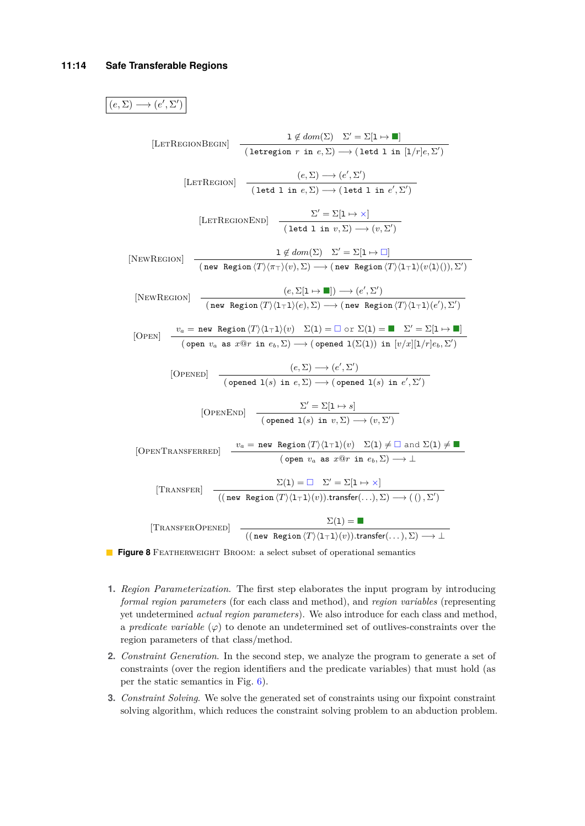<span id="page-13-0"></span> $(e, \Sigma) \longrightarrow (e', \Sigma')$ 

| [LETREGIONBEGIN]  | $1 \notin dom(\Sigma) \Sigma' = \Sigma[1 \rightarrow \blacksquare]$                                     |
|-------------------|---------------------------------------------------------------------------------------------------------|
| [LETREGION]       | $(e, \Sigma) \rightarrow (e', \Sigma')$                                                                 |
| [LETREGION]       | $(e, \Sigma) \rightarrow (e', \Sigma')$                                                                 |
| [LETREGIONEDN]    | $\Sigma' = \Sigma[1 \rightarrow \times]$                                                                |
| [LETREGIONEDN]    | $\Sigma' = \Sigma[1 \rightarrow \times]$                                                                |
| [NewREGION]       | $1 \notin dom(\Sigma) \Sigma' = \Sigma[1 \rightarrow \square]$                                          |
| [NewREGION]       | $(new Region(T)/(\pi_T)(v), \Sigma) \rightarrow (new Region(T)/(\pi_T1)(v\langle 1 \rangle)), \Sigma')$ |
| [NewREGION]       | $(e, \Sigma[1 \rightarrow \blacksquare]) \rightarrow (e', \Sigma')$                                     |
| [NewREGION]       | $(e, \Sigma[1 \rightarrow \blacksquare]) \rightarrow (e', \Sigma')$                                     |
| [OPEN]            | $v_a$ as $x@r$ in $e_b, \Sigma) \rightarrow (opened 1(\Sigma(1))$ in $[v/x][1/r]e_b, \Sigma')$          |
| [OPEND]           | $(open\ v_a$ as $x@r$ in $e_b, \Sigma) \rightarrow (opened 1(\Sigma(1))$ in $[v/x][1/r]e_b, \Sigma')$   |
| [OPENED]          | $\Sigma' = \Sigma[1 \rightarrow s]$                                                                     |
| [OPENEDN]         | $\Sigma' = \Sigma[1 \rightarrow s]$                                                                     |
| [OPENEND]         | $\Sigma' = \Sigma[1 \rightarrow s]$                                                                     |
| [OPENEND]         | $\Sigma' = \Sigma[1 \rightarrow s]$                                                                     |
| [OPENTRANSFERRED] | $v_a$ as $x@r$ in <                                                                                     |

- **1.** *Region Parameterization*. The first step elaborates the input program by introducing *formal region parameters* (for each class and method), and *region variables* (representing yet undetermined *actual region parameters*). We also introduce for each class and method, a *predicate variable*  $(\varphi)$  to denote an undetermined set of outlives-constraints over the region parameters of that class/method.
- **2.** *Constraint Generation*. In the second step, we analyze the program to generate a set of constraints (over the region identifiers and the predicate variables) that must hold (as per the static semantics in Fig. [6\)](#page-9-0).
- **3.** *Constraint Solving*. We solve the generated set of constraints using our fixpoint constraint solving algorithm, which reduces the constraint solving problem to an abduction problem.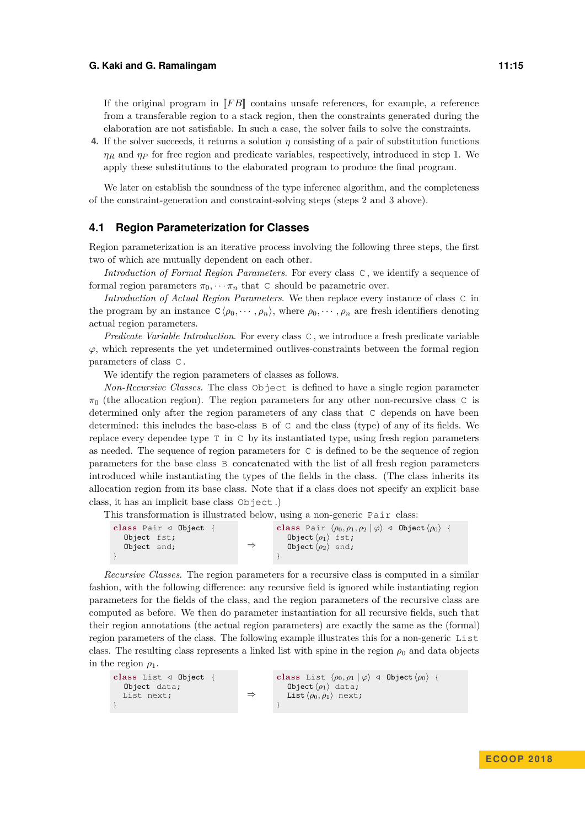If the original program in  $\llbracket F \mathcal{B} \rrbracket$  contains unsafe references, for example, a reference from a transferable region to a stack region, then the constraints generated during the elaboration are not satisfiable. In such a case, the solver fails to solve the constraints.

**4.** If the solver succeeds, it returns a solution *η* consisting of a pair of substitution functions *η<sup>R</sup>* and *η<sup>P</sup>* for free region and predicate variables, respectively, introduced in step 1. We apply these substitutions to the elaborated program to produce the final program.

We later on establish the soundness of the type inference algorithm, and the completeness of the constraint-generation and constraint-solving steps (steps 2 and 3 above).

#### **4.1 Region Parameterization for Classes**

Region parameterization is an iterative process involving the following three steps, the first two of which are mutually dependent on each other.

*Introduction of Formal Region Parameters*. For every class C , we identify a sequence of formal region parameters  $\pi_0$ ,  $\cdots$   $\pi_n$  that C should be parametric over.

*Introduction of Actual Region Parameters*. We then replace every instance of class C in the program by an instance  $C \langle \rho_0, \cdots, \rho_n \rangle$ , where  $\rho_0, \cdots, \rho_n$  are fresh identifiers denoting actual region parameters.

*Predicate Variable Introduction*. For every class C , we introduce a fresh predicate variable  $\varphi$ , which represents the yet undetermined outlives-constraints between the formal region parameters of class C .

We identify the region parameters of classes as follows.

*Non-Recursive Classes*. The class Object is defined to have a single region parameter  $\pi_0$  (the allocation region). The region parameters for any other non-recursive class C is determined only after the region parameters of any class that C depends on have been determined: this includes the base-class B of C and the class (type) of any of its fields. We replace every dependee type T in C by its instantiated type, using fresh region parameters as needed. The sequence of region parameters for C is defined to be the sequence of region parameters for the base class B concatenated with the list of all fresh region parameters introduced while instantiating the types of the fields in the class. (The class inherits its allocation region from its base class. Note that if a class does not specify an explicit base class, it has an implicit base class Object .)

This transformation is illustrated below, using a non-generic Pair class:

| class Pair $\triangleleft$ Object |               | class Pair $\langle \rho_0, \rho_1, \rho_2   \varphi \rangle$ $\triangleleft$ Object $\langle \rho_0 \rangle$ |
|-----------------------------------|---------------|---------------------------------------------------------------------------------------------------------------|
| Object fst;                       |               | Object $\langle \rho_1 \rangle$ fst;                                                                          |
| Object snd;                       | $\Rightarrow$ | Object $\langle \rho_2 \rangle$ snd;                                                                          |
|                                   |               |                                                                                                               |

*Recursive Classes*. The region parameters for a recursive class is computed in a similar fashion, with the following difference: any recursive field is ignored while instantiating region parameters for the fields of the class, and the region parameters of the recursive class are computed as before. We then do parameter instantiation for all recursive fields, such that their region annotations (the actual region parameters) are exactly the same as the (formal) region parameters of the class. The following example illustrates this for a non-generic List class. The resulting class represents a linked list with spine in the region  $\rho_0$  and data objects in the region  $\rho_1$ .

```
c lass List / Object {
    Object data;
    List next;
}
                                                          ⇒
                                                                       class List \langle \rho_0, \rho_1 | \varphi \rangle \triangleleft \text{Object } \langle \rho_0 \rangle {
                                                                           Object \langle \rho_1 \rangle data;
                                                                           List \langle \rho_0, \rho_1 \rangle next;
                                                                       }
```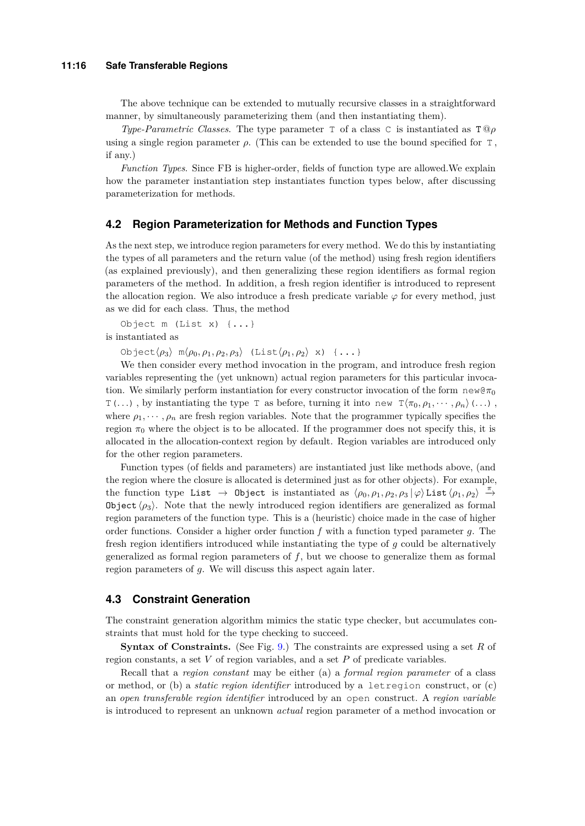#### **11:16 Safe Transferable Regions**

The above technique can be extended to mutually recursive classes in a straightforward manner, by simultaneously parameterizing them (and then instantiating them).

*Type-Parametric Classes.* The type parameter T of a class C is instantiated as  $T$  **@***ρ* using a single region parameter  $\rho$ . (This can be extended to use the bound specified for  $\tau$ , if any.)

*Function Types*. Since FB is higher-order, fields of function type are allowed.We explain how the parameter instantiation step instantiates function types below, after discussing parameterization for methods.

### **4.2 Region Parameterization for Methods and Function Types**

As the next step, we introduce region parameters for every method. We do this by instantiating the types of all parameters and the return value (of the method) using fresh region identifiers (as explained previously), and then generalizing these region identifiers as formal region parameters of the method. In addition, a fresh region identifier is introduced to represent the allocation region. We also introduce a fresh predicate variable *ϕ* for every method, just as we did for each class. Thus, the method

Object m (List x) {...} is instantiated as

Object $\langle \rho_3 \rangle$  m $\langle \rho_0, \rho_1, \rho_2, \rho_3 \rangle$  (List $\langle \rho_1, \rho_2 \rangle$  x)  $\{\ldots\}$ 

We then consider every method invocation in the program, and introduce fresh region variables representing the (yet unknown) actual region parameters for this particular invocation. We similarly perform instantiation for every constructor invocation of the form new@π<sub>0</sub>  $T(\ldots)$ , by instantiating the type T as before, turning it into new  $T(\pi_0, \rho_1, \cdots, \rho_n)$  (...), where  $\rho_1, \dots, \rho_n$  are fresh region variables. Note that the programmer typically specifies the region  $\pi_0$  where the object is to be allocated. If the programmer does not specify this, it is allocated in the allocation-context region by default. Region variables are introduced only for the other region parameters.

Function types (of fields and parameters) are instantiated just like methods above, (and the region where the closure is allocated is determined just as for other objects). For example, the function type List  $\rightarrow$  Object is instantiated as  $\langle \rho_0, \rho_1, \rho_2, \rho_3 | \varphi \rangle$  List  $\langle \rho_1, \rho_2 \rangle \stackrel{\pi}{\rightarrow}$ Object  $\langle \rho_3 \rangle$ . Note that the newly introduced region identifiers are generalized as formal region parameters of the function type. This is a (heuristic) choice made in the case of higher order functions. Consider a higher order function *f* with a function typed parameter *g*. The fresh region identifiers introduced while instantiating the type of *g* could be alternatively generalized as formal region parameters of *f*, but we choose to generalize them as formal region parameters of *g*. We will discuss this aspect again later.

### **4.3 Constraint Generation**

The constraint generation algorithm mimics the static type checker, but accumulates constraints that must hold for the type checking to succeed.

**Syntax of Constraints.** (See Fig. [9.](#page-16-0)) The constraints are expressed using a set *R* of region constants, a set *V* of region variables, and a set *P* of predicate variables.

Recall that a *region constant* may be either (a) a *formal region parameter* of a class or method, or (b) a *static region identifier* introduced by a letregion construct, or (c) an *open transferable region identifier* introduced by an open construct. A *region variable* is introduced to represent an unknown *actual* region parameter of a method invocation or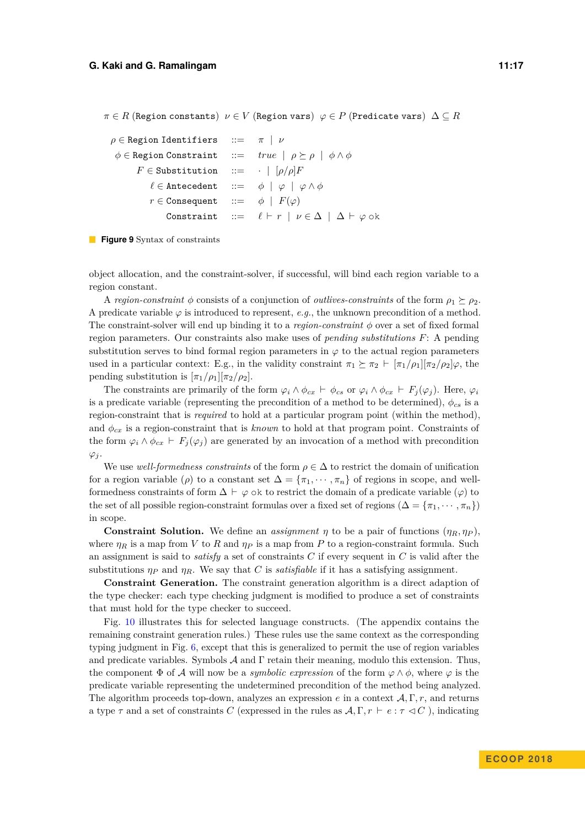<span id="page-16-0"></span>

| $\rho \in$ Region Identifiers ::= $\pi   \nu$                                       |                                                                                  |
|-------------------------------------------------------------------------------------|----------------------------------------------------------------------------------|
| $\phi \in \text{Region Constant}$ ::= $true   \rho \succeq \rho   \phi \wedge \phi$ |                                                                                  |
| $F \in$ Substitution ::= $\cdot$   $[\rho/\rho]F$                                   |                                                                                  |
| $\ell \in$ Antecedent ::= $\phi \mid \varphi \mid \varphi \wedge \phi$              |                                                                                  |
| $r \in \text{Consequent}$ ::= $\phi \mid F(\varphi)$                                |                                                                                  |
|                                                                                     | Constraint ::= $\ell \vdash r \mid \nu \in \Delta \mid \Delta \vdash \varphi$ ok |



object allocation, and the constraint-solver, if successful, will bind each region variable to a region constant.

A *region-constraint*  $\phi$  consists of a conjunction of *outlives-constraints* of the form  $\rho_1 \succeq \rho_2$ . A predicate variable  $\varphi$  is introduced to represent, *e.g.*, the unknown precondition of a method. The constraint-solver will end up binding it to a *region-constraint φ* over a set of fixed formal region parameters. Our constraints also make uses of *pending substitutions F*: A pending substitution serves to bind formal region parameters in  $\varphi$  to the actual region parameters used in a particular context: E.g., in the validity constraint  $\pi_1 \succeq \pi_2 \vdash [\pi_1/\rho_1][\pi_2/\rho_2]\varphi$ , the pending substitution is  $[\pi_1/\rho_1][\pi_2/\rho_2]$ .

The constraints are primarily of the form  $\varphi_i \wedge \phi_{cx} \vdash \phi_{cs}$  or  $\varphi_i \wedge \phi_{cx} \vdash F_j(\varphi_j)$ . Here,  $\varphi_i$ is a predicate variable (representing the precondition of a method to be determined),  $\phi_{cs}$  is a region-constraint that is *required* to hold at a particular program point (within the method), and  $\phi_{cx}$  is a region-constraint that is *known* to hold at that program point. Constraints of the form  $\varphi_i \wedge \varphi_{cx} \vdash F_j(\varphi_j)$  are generated by an invocation of a method with precondition  $\varphi_j$ .

We use *well-formedness constraints* of the form  $\rho \in \Delta$  to restrict the domain of unification for a region variable ( $\rho$ ) to a constant set  $\Delta = {\pi_1, \cdots, \pi_n}$  of regions in scope, and wellformedness constraints of form  $\Delta \vdash \varphi$  ok to restrict the domain of a predicate variable  $(\varphi)$  to the set of all possible region-constraint formulas over a fixed set of regions ( $\Delta = \{\pi_1, \dots, \pi_n\}$ ) in scope.

**Constraint Solution.** We define an *assignment*  $\eta$  to be a pair of functions  $(\eta_R, \eta_P)$ , where  $\eta_R$  is a map from *V* to *R* and  $\eta_P$  is a map from *P* to a region-constraint formula. Such an assignment is said to *satisfy* a set of constraints *C* if every sequent in *C* is valid after the substitutions  $\eta_P$  and  $\eta_R$ . We say that *C* is *satisfiable* if it has a satisfying assignment.

**Constraint Generation.** The constraint generation algorithm is a direct adaption of the type checker: each type checking judgment is modified to produce a set of constraints that must hold for the type checker to succeed.

Fig. [10](#page-17-0) illustrates this for selected language constructs. (The appendix contains the remaining constraint generation rules.) These rules use the same context as the corresponding typing judgment in Fig. [6,](#page-9-0) except that this is generalized to permit the use of region variables and predicate variables. Symbols  $\mathcal A$  and  $\Gamma$  retain their meaning, modulo this extension. Thus, the component  $\Phi$  of A will now be a *symbolic expression* of the form  $\varphi \wedge \phi$ , where  $\varphi$  is the predicate variable representing the undetermined precondition of the method being analyzed. The algorithm proceeds top-down, analyzes an expression *e* in a context A*,* Γ*, r*, and returns a type  $\tau$  and a set of constraints *C* (expressed in the rules as  $\mathcal{A}, \Gamma, r \vdash e : \tau \lhd C$ ), indicating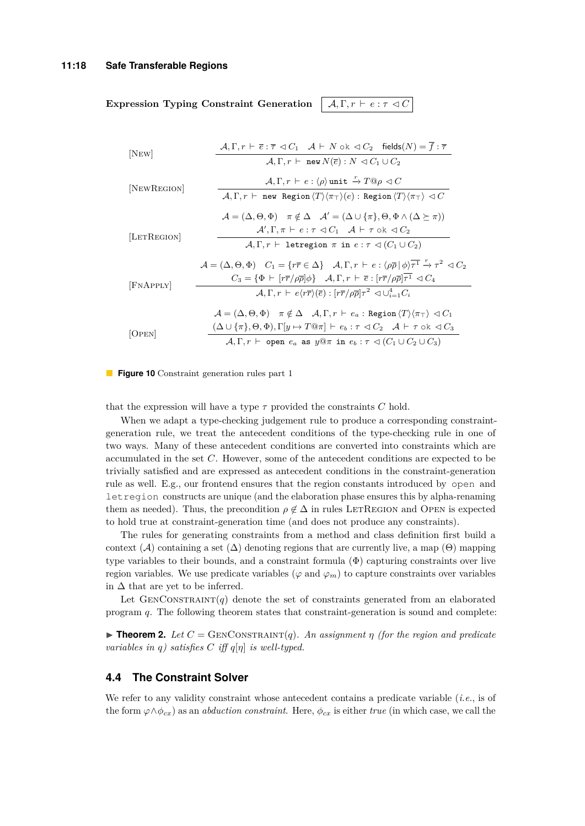<span id="page-17-0"></span>**Expression Typing Constraint Generation**  $\mathcal{A}, \Gamma, r \vdash e : \tau \triangleleft C$ 

$$
[NEW]
$$
\n
$$
\frac{\mathcal{A}, \Gamma, r \vdash \overline{e} : \overline{\tau} \lhd C_1 \quad \mathcal{A} \vdash N \text{ ok } \lhd C_2 \quad \text{fields}(N) = \overline{f} : \overline{\tau}}{\mathcal{A}, \Gamma, r \vdash \text{new } N(\overline{e}) : N \lhd C_1 \cup C_2}
$$
\n[
$$
[NEWRecION]
$$
\n
$$
\frac{\mathcal{A}, \Gamma, r \vdash e : \langle \rho \rangle \text{ unit } \xrightarrow{\Gamma} \mathcal{D} \varphi \lhd C}{\mathcal{A}, \Gamma, r \vdash \text{new Region } \langle T \rangle \langle \pi \tau \rangle \langle e \rangle : \text{Region } \langle T \rangle \langle \pi \tau \rangle \lhd C}
$$
\n
$$
\mathcal{A} = (\Delta, \Theta, \Phi) \quad \pi \notin \Delta \quad \mathcal{A}' = (\Delta \cup \{\pi\}, \Theta, \Phi \land (\Delta \succeq \pi))
$$
\n[
$$
[LETREGION]
$$
\n
$$
\frac{\mathcal{A}', \Gamma, \pi \vdash e : \tau \lhd C_1 \quad \mathcal{A} \vdash \tau \text{ ok } \lhd C_2}{\mathcal{A}, \Gamma, r \vdash \text{letregion } \pi \text{ in } e : \tau \lhd (C_1 \cup C_2)}
$$
\n
$$
\mathcal{A} = (\Delta, \Theta, \Phi) \quad C_1 = \{r\overline{r} \in \Delta\} \quad \mathcal{A}, \Gamma, r \vdash e : \langle \rho \overline{\rho} | \phi \rangle \overline{\tau} \xrightarrow{\Gamma} \tau^2 \lhd C_2
$$
\n[
$$
[FNAPPLY]
$$
\n
$$
\frac{C_3 = \{\Phi \vdash [r\overline{r}/\rho\overline{\rho}]\phi\} \quad \mathcal{A}, \Gamma, r \vdash \overline{e} : [r\overline{r}/\rho\overline{\rho}] \tau^1 \lhd C_4}{\mathcal{A}, \Gamma, r \vdash e \langle r\overline{r} \rangle \langle \overline{e} \rangle : [r\overline{r}/\rho\overline{\rho}] \tau^2 \lhd \cup_{i=1}^4 C_i}
$$
\n[
$$
\mathcal{A} = (\Delta, \Theta, \Phi) \quad \pi \notin \Delta \quad
$$

**Figure 10** Constraint generation rules part 1

that the expression will have a type  $\tau$  provided the constraints  $C$  hold.

When we adapt a type-checking judgement rule to produce a corresponding constraintgeneration rule, we treat the antecedent conditions of the type-checking rule in one of two ways. Many of these antecedent conditions are converted into constraints which are accumulated in the set *C*. However, some of the antecedent conditions are expected to be trivially satisfied and are expressed as antecedent conditions in the constraint-generation rule as well. E.g., our frontend ensures that the region constants introduced by open and letregion constructs are unique (and the elaboration phase ensures this by alpha-renaming them as needed). Thus, the precondition  $\rho \notin \Delta$  in rules LETREGION and OPEN is expected to hold true at constraint-generation time (and does not produce any constraints).

The rules for generating constraints from a method and class definition first build a context  $(\mathcal{A})$  containing a set  $(\Delta)$  denoting regions that are currently live, a map  $(\Theta)$  mapping type variables to their bounds, and a constraint formula  $(\Phi)$  capturing constraints over live region variables. We use predicate variables ( $\varphi$  and  $\varphi_m$ ) to capture constraints over variables in  $\Delta$  that are yet to be inferred.

Let  $GEN,  $(q)$  denote the set of constraints generated from an elaborated$ program *q*. The following theorem states that constraint-generation is sound and complete:

<span id="page-17-1"></span>**Findmen 2.** Let  $C =$  GENCONSTRAINT(*q*)*. An assignment*  $\eta$  *(for the region and predicate variables in q) satisfies*  $C$  *iff*  $q[\eta]$  *is well-typed.* 

### **4.4 The Constraint Solver**

We refer to any validity constraint whose antecedent contains a predicate variable (*i.e.*, is of the form  $\varphi \wedge \varphi_{cx}$  as an *abduction constraint*. Here,  $\varphi_{cx}$  is either *true* (in which case, we call the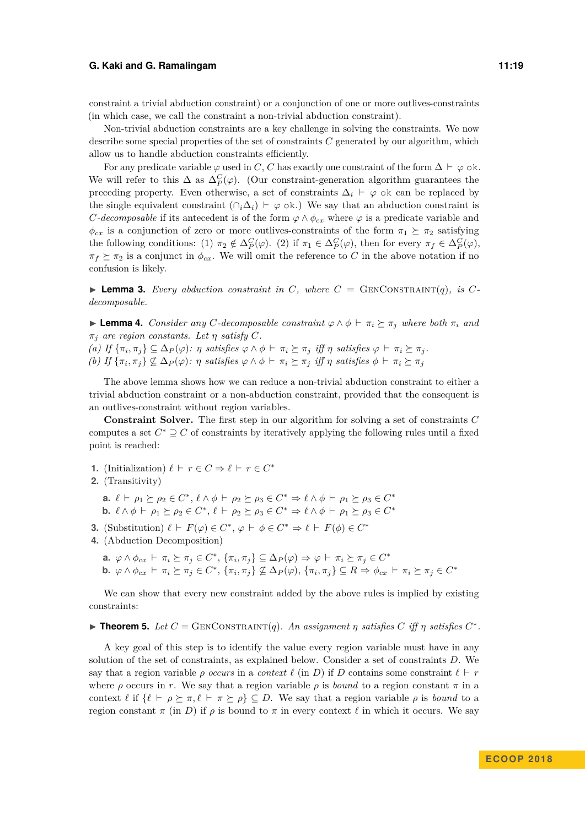constraint a trivial abduction constraint) or a conjunction of one or more outlives-constraints (in which case, we call the constraint a non-trivial abduction constraint).

Non-trivial abduction constraints are a key challenge in solving the constraints. We now describe some special properties of the set of constraints *C* generated by our algorithm, which allow us to handle abduction constraints efficiently.

For any predicate variable  $\varphi$  used in *C*, *C* has exactly one constraint of the form  $\Delta \vdash \varphi$  ok. We will refer to this  $\Delta$  as  $\Delta_P^C(\varphi)$ . (Our constraint-generation algorithm guarantees the preceding property. Even otherwise, a set of constraints  $\Delta_i \vdash \varphi$  ok can be replaced by the single equivalent constraint ( $\cap_i \Delta_i$ )  $\vdash \varphi$  ok.) We say that an abduction constraint is *C*-decomposable if its antecedent is of the form  $\varphi \wedge \phi_{cx}$  where  $\varphi$  is a predicate variable and  $\phi_{cx}$  is a conjunction of zero or more outlives-constraints of the form  $\pi_1 \succeq \pi_2$  satisfying the following conditions: (1)  $\pi_2 \notin \Delta_P^C(\varphi)$ . (2) if  $\pi_1 \in \Delta_P^C(\varphi)$ , then for every  $\pi_f \in \Delta_P^C(\varphi)$ ,  $\pi_f \succeq \pi_2$  is a conjunct in  $\phi_{cx}$ . We will omit the reference to *C* in the above notation if no confusion is likely.

**Example 3.** Every abduction constraint in C, where  $C = \text{GENCONSTRAINT}(q)$ , is C*decomposable.*

 $▶$  **Lemma 4.** *Consider any C*-decomposable constraint  $\varphi \land \varphi \vdash \pi_i \succeq \pi_j$  where both  $\pi_i$  and  $\pi_j$  *are region constants. Let*  $\eta$  *satisfy*  $C$ *.* 

(a) If  $\{\pi_i, \pi_j\} \subseteq \Delta_P(\varphi)$ :  $\eta$  satisfies  $\varphi \wedge \phi \vdash \pi_i \succeq \pi_j$  iff  $\eta$  satisfies  $\varphi \vdash \pi_i \succeq \pi_j$ . (b) If  $\{\pi_i, \pi_j\} \not\subseteq \Delta_P(\varphi)$ :  $\eta$  satisfies  $\varphi \wedge \phi \vdash \pi_i \succeq \pi_j$  iff  $\eta$  satisfies  $\phi \vdash \pi_i \succeq \pi_j$ 

The above lemma shows how we can reduce a non-trivial abduction constraint to either a trivial abduction constraint or a non-abduction constraint, provided that the consequent is an outlives-constraint without region variables.

**Constraint Solver.** The first step in our algorithm for solving a set of constraints *C* computes a set  $C^* \supseteq C$  of constraints by iteratively applying the following rules until a fixed point is reached:

- **1.** (Initialization)  $\ell \vdash r \in C \Rightarrow \ell \vdash r \in C^*$
- **2.** (Transitivity)
	- **a.**  $\ell \vdash \rho_1 \succeq \rho_2 \in C^*, \ell \wedge \phi \vdash \rho_2 \succeq \rho_3 \in C^* \Rightarrow \ell \wedge \phi \vdash \rho_1 \succeq \rho_3 \in C^*$ **b.**  $\ell \wedge \phi \vdash \rho_1 \succeq \rho_2 \in C^*, \ell \vdash \rho_2 \succeq \rho_3 \in C^* \Rightarrow \ell \wedge \phi \vdash \rho_1 \succeq \rho_3 \in C^*$
- **3.** (Substitution)  $\ell \vdash F(\varphi) \in C^*$ ,  $\varphi \vdash \varphi \in C^* \Rightarrow \ell \vdash F(\varphi) \in C^*$
- **4.** (Abduction Decomposition)
	- **a.**  $\varphi \wedge \phi_{cx} \vdash \pi_i \succeq \pi_j \in C^*, \{\pi_i, \pi_j\} \subseteq \Delta_P(\varphi) \Rightarrow \varphi \vdash \pi_i \succeq \pi_j \in C^*$ **b.**  $\varphi \wedge \phi_{cx} \vdash \pi_i \succeq \pi_j \in C^*$ ,  $\{\pi_i, \pi_j\} \not\subseteq \Delta_P(\varphi), \{\pi_i, \pi_j\} \subseteq R \Rightarrow \phi_{cx} \vdash \pi_i \succeq \pi_j \in C^*$

We can show that every new constraint added by the above rules is implied by existing constraints:

### **Fineorem 5.** Let  $C = \text{GENCONSTRAINT}(q)$ . An assignment  $\eta$  satisfies  $C$  iff  $\eta$  satisfies  $C^*$ .

A key goal of this step is to identify the value every region variable must have in any solution of the set of constraints, as explained below. Consider a set of constraints *D*. We say that a region variable *ρ occurs* in a *context*  $\ell$  (in *D*) if *D* contains some constraint  $\ell \vdash r$ where *ρ* occurs in *r*. We say that a region variable *ρ* is *bound* to a region constant  $\pi$  in a context  $\ell$  if  $\{\ell \vdash \rho \succeq \pi, \ell \vdash \pi \succeq \rho\} \subseteq D$ . We say that a region variable  $\rho$  is *bound* to a region constant *π* (in *D*) if *ρ* is bound to *π* in every context  $\ell$  in which it occurs. We say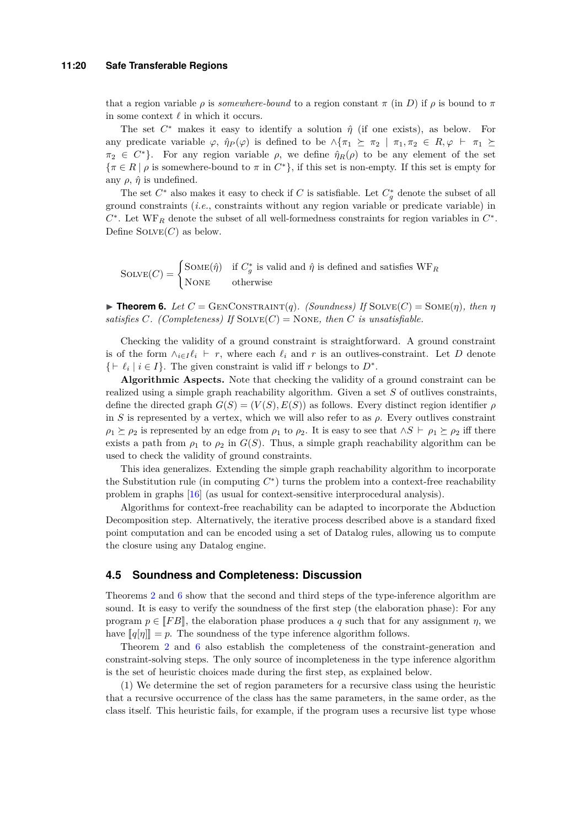that a region variable *ρ* is *somewhere-bound* to a region constant  $\pi$  (in *D*) if *ρ* is bound to  $\pi$ in some context  $\ell$  in which it occurs.

The set  $C^*$  makes it easy to identify a solution  $\hat{\eta}$  (if one exists), as below. For any predicate variable  $\varphi$ ,  $\hat{\eta}_P(\varphi)$  is defined to be  $\wedge {\pi_1 \succeq \pi_2 \mid \pi_1, \pi_2 \in R, \varphi \vdash \pi_1 \succeq \pi_2}$  $\pi_2 \in C^*$ . For any region variable  $\rho$ , we define  $\hat{\eta}_R(\rho)$  to be any element of the set  $\{\pi \in R \mid \rho \text{ is somewhere-bound to } \pi \text{ in } C^*\},\$  if this set is non-empty. If this set is empty for any  $\rho$ ,  $\hat{\eta}$  is undefined.

The set  $C^*$  also makes it easy to check if *C* is satisfiable. Let  $C_g^*$  denote the subset of all ground constraints (*i.e.*, constraints without any region variable or predicate variable) in *C* ∗ . Let WF*<sup>R</sup>* denote the subset of all well-formedness constraints for region variables in *C* ∗ . Define  $SOLVE(C)$  as below.

 $\text{SOLVE}(C) = \begin{cases} \text{SOME}(\hat{\eta}) & \text{if } C_g^* \text{ is valid and } \hat{\eta} \text{ is defined and satisfies } \text{WF}_R \end{cases}$ NONE otherwise

<span id="page-19-0"></span>**Find Theorem 6.** Let  $C =$  GENCONSTRAINT(*q*). (Soundness) If  $\text{SOLVE}(C) = \text{SOME}(\eta)$ , then  $\eta$ *satisfies C.* (Completeness) If  $SOLVE(C) = None$ , then *C* is unsatisfiable.

Checking the validity of a ground constraint is straightforward. A ground constraint is of the form  $\wedge_{i\in I} \ell_i \vdash r$ , where each  $\ell_i$  and r is an outlives-constraint. Let D denote  $\{\vdash \ell_i \mid i \in I\}$ . The given constraint is valid iff *r* belongs to  $D^*$ .

**Algorithmic Aspects.** Note that checking the validity of a ground constraint can be realized using a simple graph reachability algorithm. Given a set *S* of outlives constraints, define the directed graph  $G(S) = (V(S), E(S))$  as follows. Every distinct region identifier  $\rho$ in *S* is represented by a vertex, which we will also refer to as  $\rho$ . Every outlives constraint  $\rho_1 \succeq \rho_2$  is represented by an edge from  $\rho_1$  to  $\rho_2$ . It is easy to see that ∧*S*  $\vdash \rho_1 \succeq \rho_2$  iff there exists a path from  $\rho_1$  to  $\rho_2$  in  $G(S)$ . Thus, a simple graph reachability algorithm can be used to check the validity of ground constraints.

This idea generalizes. Extending the simple graph reachability algorithm to incorporate the Substitution rule (in computing  $C^*$ ) turns the problem into a context-free reachability problem in graphs [\[16\]](#page-25-6) (as usual for context-sensitive interprocedural analysis).

Algorithms for context-free reachability can be adapted to incorporate the Abduction Decomposition step. Alternatively, the iterative process described above is a standard fixed point computation and can be encoded using a set of Datalog rules, allowing us to compute the closure using any Datalog engine.

#### **4.5 Soundness and Completeness: Discussion**

Theorems [2](#page-17-1) and [6](#page-19-0) show that the second and third steps of the type-inference algorithm are sound. It is easy to verify the soundness of the first step (the elaboration phase): For any program  $p \in [FB]$ , the elaboration phase produces a q such that for any assignment  $\eta$ , we have  $\llbracket q[\eta] \rrbracket = p$ . The soundness of the type inference algorithm follows.

Theorem [2](#page-17-1) and [6](#page-19-0) also establish the completeness of the constraint-generation and constraint-solving steps. The only source of incompleteness in the type inference algorithm is the set of heuristic choices made during the first step, as explained below.

(1) We determine the set of region parameters for a recursive class using the heuristic that a recursive occurrence of the class has the same parameters, in the same order, as the class itself. This heuristic fails, for example, if the program uses a recursive list type whose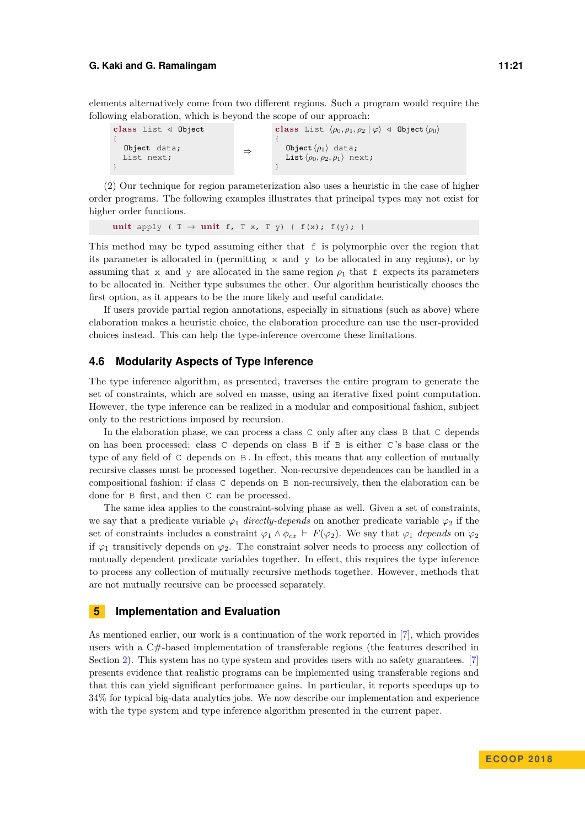elements alternatively come from two different regions. Such a program would require the following elaboration, which is beyond the scope of our approach:

**c lass** List */* Object { Object data; List next; } ⇒ class List  $\langle \rho_0, \rho_1, \rho_2 | \varphi \rangle \triangleleft \text{Object } \langle \rho_0 \rangle$ { Object  $\langle \rho_1 \rangle$  data; List  $\langle \rho_0, \rho_2, \rho_1 \rangle$  next; }

(2) Our technique for region parameterization also uses a heuristic in the case of higher order programs. The following examples illustrates that principal types may not exist for higher order functions.

**unit** apply (  $T \rightarrow$  **unit** f,  $T \times$ ,  $T \times$ ) {  $f(x)$ ;  $f(y)$ ; }

This method may be typed assuming either that f is polymorphic over the region that its parameter is allocated in (permitting x and y to be allocated in any regions), or by assuming that x and y are allocated in the same region  $\rho_1$  that f expects its parameters to be allocated in. Neither type subsumes the other. Our algorithm heuristically chooses the first option, as it appears to be the more likely and useful candidate.

If users provide partial region annotations, especially in situations (such as above) where elaboration makes a heuristic choice, the elaboration procedure can use the user-provided choices instead. This can help the type-inference overcome these limitations.

### **4.6 Modularity Aspects of Type Inference**

The type inference algorithm, as presented, traverses the entire program to generate the set of constraints, which are solved en masse, using an iterative fixed point computation. However, the type inference can be realized in a modular and compositional fashion, subject only to the restrictions imposed by recursion.

In the elaboration phase, we can process a class C only after any class B that C depends on has been processed: class C depends on class B if B is either C 's base class or the type of any field of C depends on B . In effect, this means that any collection of mutually recursive classes must be processed together. Non-recursive dependences can be handled in a compositional fashion: if class C depends on B non-recursively, then the elaboration can be done for B first, and then C can be processed.

The same idea applies to the constraint-solving phase as well. Given a set of constraints, we say that a predicate variable  $\varphi_1$  *directly-depends* on another predicate variable  $\varphi_2$  if the set of constraints includes a constraint  $\varphi_1 \wedge \varphi_{cx} \vdash F(\varphi_2)$ . We say that  $\varphi_1$  *depends* on  $\varphi_2$ if  $\varphi_1$  transitively depends on  $\varphi_2$ . The constraint solver needs to process any collection of mutually dependent predicate variables together. In effect, this requires the type inference to process any collection of mutually recursive methods together. However, methods that are not mutually recursive can be processed separately.

### **5 Implementation and Evaluation**

As mentioned earlier, our work is a continuation of the work reported in [\[7\]](#page-24-0), which provides users with a C#-based implementation of transferable regions (the features described in Section [2\)](#page-4-0). This system has no type system and provides users with no safety guarantees. [\[7\]](#page-24-0) presents evidence that realistic programs can be implemented using transferable regions and that this can yield significant performance gains. In particular, it reports speedups up to 34% for typical big-data analytics jobs. We now describe our implementation and experience with the type system and type inference algorithm presented in the current paper.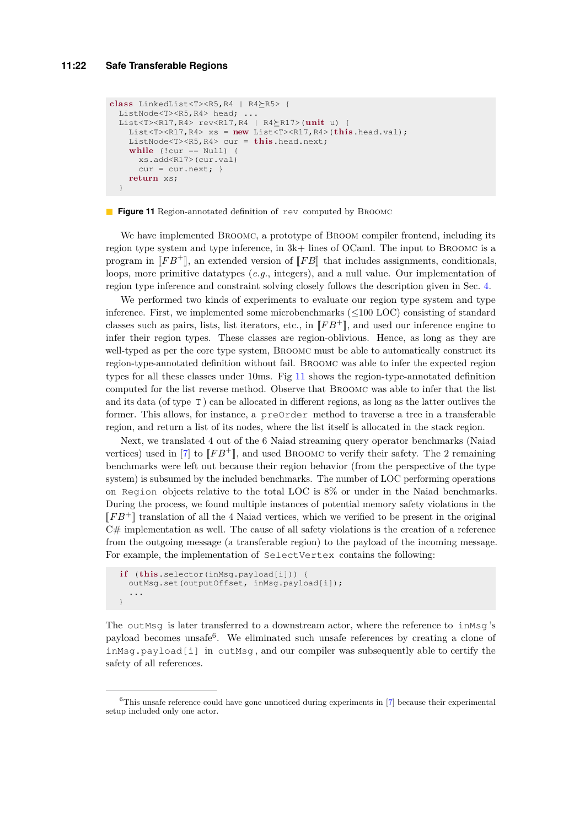```
c lass LinkedList<T><R5,R4 | R4R5> {
 ListNode<T><R5,R4> head;
 List<T><R17, R4> rev<R17, R4 | R4\succeqR17>(unit u) {
    List<T><R17,R4> xs = new List<T><R17,R4>(this.head.val);
    ListNode<T><R5,R4> cur = this.head.next;
    while (!cur == Null) {
      xs.add<R17>(cur.val)
      cur = cur.next; }
    return xs;
  }
```
**Figure 11** Region-annotated definition of rev computed by BROOMC

We have implemented Broomc, a prototype of Broom compiler frontend, including its region type system and type inference, in 3k+ lines of OCaml. The input to Broomc is a program in  $\llbracket F B^+ \rrbracket$ , an extended version of  $\llbracket F B \rrbracket$  that includes assignments, conditionals, loops, more primitive datatypes (*e.g.*, integers), and a null value. Our implementation of region type inference and constraint solving closely follows the description given in Sec. [4.](#page-12-0)

We performed two kinds of experiments to evaluate our region type system and type inference. First, we implemented some microbenchmarks (≤100 LOC) consisting of standard classes such as pairs, lists, list iterators, etc., in  $\llbracket FB^+\rrbracket$ , and used our inference engine to infer their region types. These classes are region-oblivious. Hence, as long as they are well-typed as per the core type system, Broomc must be able to automatically construct its region-type-annotated definition without fail. Broomc was able to infer the expected region types for all these classes under 10ms. Fig [11](#page-21-0) shows the region-type-annotated definition computed for the list reverse method. Observe that Broomc was able to infer that the list and its data (of type T ) can be allocated in different regions, as long as the latter outlives the former. This allows, for instance, a preOrder method to traverse a tree in a transferable region, and return a list of its nodes, where the list itself is allocated in the stack region.

Next, we translated 4 out of the 6 Naiad streaming query operator benchmarks (Naiad vertices) used in [\[7\]](#page-24-0) to  $\llbracket FB^+\rrbracket$ , and used BROOMC to verify their safety. The 2 remaining benchmarks were left out because their region behavior (from the perspective of the type system) is subsumed by the included benchmarks. The number of LOC performing operations on Region objects relative to the total LOC is 8% or under in the Naiad benchmarks. During the process, we found multiple instances of potential memory safety violations in the  $\llbracket FB^+\rrbracket$  translation of all the 4 Naiad vertices, which we verified to be present in the original  $C#$  implementation as well. The cause of all safety violations is the creation of a reference from the outgoing message (a transferable region) to the payload of the incoming message. For example, the implementation of SelectVertex contains the following:

```
if (this.selector(inMsg.payload[i])) {
  outMsg.set(outputOffset, inMsg.payload[i]);
  ...
}
```
The outMsq is later transferred to a downstream actor, where the reference to inMsq's payload becomes unsafe<sup>6</sup>. We eliminated such unsafe references by creating a clone of  $inMsg.payload[i]$  in outMsq, and our compiler was subsequently able to certify the safety of all references.

<sup>&</sup>lt;sup>6</sup>This unsafe reference could have gone unnoticed during experiments in [\[7\]](#page-24-0) because their experimental setup included only one actor.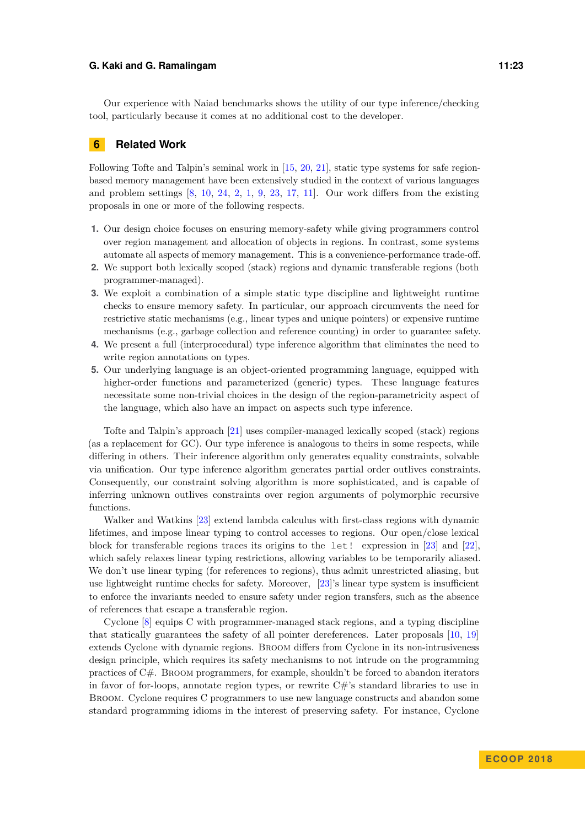Our experience with Naiad benchmarks shows the utility of our type inference/checking tool, particularly because it comes at no additional cost to the developer.

### **6 Related Work**

Following Tofte and Talpin's seminal work in [\[15,](#page-25-7) [20,](#page-25-2) [21\]](#page-25-3), static type systems for safe regionbased memory management have been extensively studied in the context of various languages and problem settings  $[8, 10, 24, 2, 1, 9, 23, 17, 11]$  $[8, 10, 24, 2, 1, 9, 23, 17, 11]$  $[8, 10, 24, 2, 1, 9, 23, 17, 11]$  $[8, 10, 24, 2, 1, 9, 23, 17, 11]$  $[8, 10, 24, 2, 1, 9, 23, 17, 11]$  $[8, 10, 24, 2, 1, 9, 23, 17, 11]$  $[8, 10, 24, 2, 1, 9, 23, 17, 11]$  $[8, 10, 24, 2, 1, 9, 23, 17, 11]$  $[8, 10, 24, 2, 1, 9, 23, 17, 11]$  $[8, 10, 24, 2, 1, 9, 23, 17, 11]$  $[8, 10, 24, 2, 1, 9, 23, 17, 11]$  $[8, 10, 24, 2, 1, 9, 23, 17, 11]$  $[8, 10, 24, 2, 1, 9, 23, 17, 11]$  $[8, 10, 24, 2, 1, 9, 23, 17, 11]$  $[8, 10, 24, 2, 1, 9, 23, 17, 11]$  $[8, 10, 24, 2, 1, 9, 23, 17, 11]$  $[8, 10, 24, 2, 1, 9, 23, 17, 11]$ . Our work differs from the existing proposals in one or more of the following respects.

- **1.** Our design choice focuses on ensuring memory-safety while giving programmers control over region management and allocation of objects in regions. In contrast, some systems automate all aspects of memory management. This is a convenience-performance trade-off.
- **2.** We support both lexically scoped (stack) regions and dynamic transferable regions (both programmer-managed).
- **3.** We exploit a combination of a simple static type discipline and lightweight runtime checks to ensure memory safety. In particular, our approach circumvents the need for restrictive static mechanisms (e.g., linear types and unique pointers) or expensive runtime mechanisms (e.g., garbage collection and reference counting) in order to guarantee safety.
- **4.** We present a full (interprocedural) type inference algorithm that eliminates the need to write region annotations on types.
- **5.** Our underlying language is an object-oriented programming language, equipped with higher-order functions and parameterized (generic) types. These language features necessitate some non-trivial choices in the design of the region-parametricity aspect of the language, which also have an impact on aspects such type inference.

Tofte and Talpin's approach [\[21\]](#page-25-3) uses compiler-managed lexically scoped (stack) regions (as a replacement for GC). Our type inference is analogous to theirs in some respects, while differing in others. Their inference algorithm only generates equality constraints, solvable via unification. Our type inference algorithm generates partial order outlives constraints. Consequently, our constraint solving algorithm is more sophisticated, and is capable of inferring unknown outlives constraints over region arguments of polymorphic recursive functions.

Walker and Watkins [\[23\]](#page-25-4) extend lambda calculus with first-class regions with dynamic lifetimes, and impose linear typing to control accesses to regions. Our open/close lexical block for transferable regions traces its origins to the let! expression in [\[23\]](#page-25-4) and [\[22\]](#page-25-10), which safely relaxes linear typing restrictions, allowing variables to be temporarily aliased. We don't use linear typing (for references to regions), thus admit unrestricted aliasing, but use lightweight runtime checks for safety. Moreover, [\[23\]](#page-25-4)'s linear type system is insufficient to enforce the invariants needed to ensure safety under region transfers, such as the absence of references that escape a transferable region.

Cyclone [\[8\]](#page-24-4) equips C with programmer-managed stack regions, and a typing discipline that statically guarantees the safety of all pointer dereferences. Later proposals [\[10,](#page-24-2) [19\]](#page-25-11) extends Cyclone with dynamic regions. Broom differs from Cyclone in its non-intrusiveness design principle, which requires its safety mechanisms to not intrude on the programming practices of C#. Broom programmers, for example, shouldn't be forced to abandon iterators in favor of for-loops, annotate region types, or rewrite  $C#$ 's standard libraries to use in Broom. Cyclone requires C programmers to use new language constructs and abandon some standard programming idioms in the interest of preserving safety. For instance, Cyclone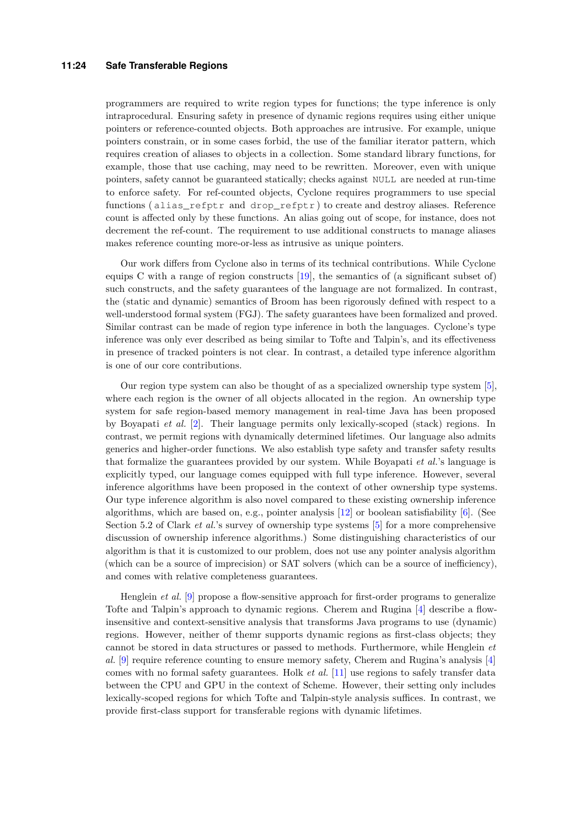#### **11:24 Safe Transferable Regions**

programmers are required to write region types for functions; the type inference is only intraprocedural. Ensuring safety in presence of dynamic regions requires using either unique pointers or reference-counted objects. Both approaches are intrusive. For example, unique pointers constrain, or in some cases forbid, the use of the familiar iterator pattern, which requires creation of aliases to objects in a collection. Some standard library functions, for example, those that use caching, may need to be rewritten. Moreover, even with unique pointers, safety cannot be guaranteed statically; checks against NULL are needed at run-time to enforce safety. For ref-counted objects, Cyclone requires programmers to use special functions ( alias\_refptr and drop\_refptr ) to create and destroy aliases. Reference count is affected only by these functions. An alias going out of scope, for instance, does not decrement the ref-count. The requirement to use additional constructs to manage aliases makes reference counting more-or-less as intrusive as unique pointers.

Our work differs from Cyclone also in terms of its technical contributions. While Cyclone equips C with a range of region constructs [\[19\]](#page-25-11), the semantics of (a significant subset of) such constructs, and the safety guarantees of the language are not formalized. In contrast, the (static and dynamic) semantics of Broom has been rigorously defined with respect to a well-understood formal system (FGJ). The safety guarantees have been formalized and proved. Similar contrast can be made of region type inference in both the languages. Cyclone's type inference was only ever described as being similar to Tofte and Talpin's, and its effectiveness in presence of tracked pointers is not clear. In contrast, a detailed type inference algorithm is one of our core contributions.

Our region type system can also be thought of as a specialized ownership type system [\[5\]](#page-24-3), where each region is the owner of all objects allocated in the region. An ownership type system for safe region-based memory management in real-time Java has been proposed by Boyapati *et al.* [\[2\]](#page-24-5). Their language permits only lexically-scoped (stack) regions. In contrast, we permit regions with dynamically determined lifetimes. Our language also admits generics and higher-order functions. We also establish type safety and transfer safety results that formalize the guarantees provided by our system. While Boyapati *et al.*'s language is explicitly typed, our language comes equipped with full type inference. However, several inference algorithms have been proposed in the context of other ownership type systems. Our type inference algorithm is also novel compared to these existing ownership inference algorithms, which are based on, e.g., pointer analysis  $[12]$  or boolean satisfiability  $[6]$ . (See Section 5.2 of Clark *et al.*'s survey of ownership type systems [\[5\]](#page-24-3) for a more comprehensive discussion of ownership inference algorithms.) Some distinguishing characteristics of our algorithm is that it is customized to our problem, does not use any pointer analysis algorithm (which can be a source of imprecision) or SAT solvers (which can be a source of inefficiency), and comes with relative completeness guarantees.

Henglein *et al.* [\[9\]](#page-24-7) propose a flow-sensitive approach for first-order programs to generalize Tofte and Talpin's approach to dynamic regions. Cherem and Rugina [\[4\]](#page-24-9) describe a flowinsensitive and context-sensitive analysis that transforms Java programs to use (dynamic) regions. However, neither of themr supports dynamic regions as first-class objects; they cannot be stored in data structures or passed to methods. Furthermore, while Henglein *et al.* [\[9\]](#page-24-7) require reference counting to ensure memory safety, Cherem and Rugina's analysis [\[4\]](#page-24-9) comes with no formal safety guarantees. Holk *et al.* [\[11\]](#page-25-9) use regions to safely transfer data between the CPU and GPU in the context of Scheme. However, their setting only includes lexically-scoped regions for which Tofte and Talpin-style analysis suffices. In contrast, we provide first-class support for transferable regions with dynamic lifetimes.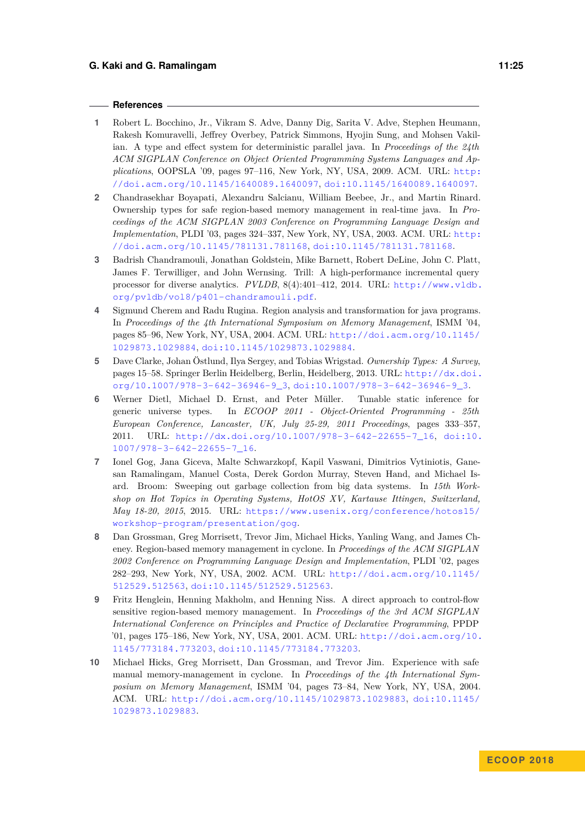#### **References**

- <span id="page-24-6"></span>**1** Robert L. Bocchino, Jr., Vikram S. Adve, Danny Dig, Sarita V. Adve, Stephen Heumann, Rakesh Komuravelli, Jeffrey Overbey, Patrick Simmons, Hyojin Sung, and Mohsen Vakilian. A type and effect system for deterministic parallel java. In *Proceedings of the 24th ACM SIGPLAN Conference on Object Oriented Programming Systems Languages and Applications*, OOPSLA '09, pages 97–116, New York, NY, USA, 2009. ACM. URL: [http:](http://doi.acm.org/10.1145/1640089.1640097) [//doi.acm.org/10.1145/1640089.1640097](http://doi.acm.org/10.1145/1640089.1640097), [doi:10.1145/1640089.1640097](http://dx.doi.org/10.1145/1640089.1640097).
- <span id="page-24-5"></span>**2** Chandrasekhar Boyapati, Alexandru Salcianu, William Beebee, Jr., and Martin Rinard. Ownership types for safe region-based memory management in real-time java. In *Proceedings of the ACM SIGPLAN 2003 Conference on Programming Language Design and Implementation*, PLDI '03, pages 324–337, New York, NY, USA, 2003. ACM. URL: [http:](http://doi.acm.org/10.1145/781131.781168) [//doi.acm.org/10.1145/781131.781168](http://doi.acm.org/10.1145/781131.781168), [doi:10.1145/781131.781168](http://dx.doi.org/10.1145/781131.781168).
- <span id="page-24-1"></span>**3** Badrish Chandramouli, Jonathan Goldstein, Mike Barnett, Robert DeLine, John C. Platt, James F. Terwilliger, and John Wernsing. Trill: A high-performance incremental query processor for diverse analytics. *PVLDB*, 8(4):401–412, 2014. URL: [http://www.vldb.](http://www.vldb.org/pvldb/vol8/p401-chandramouli.pdf) [org/pvldb/vol8/p401-chandramouli.pdf](http://www.vldb.org/pvldb/vol8/p401-chandramouli.pdf).
- <span id="page-24-9"></span>**4** Sigmund Cherem and Radu Rugina. Region analysis and transformation for java programs. In *Proceedings of the 4th International Symposium on Memory Management*, ISMM '04, pages 85–96, New York, NY, USA, 2004. ACM. URL: [http://doi.acm.org/10.1145/](http://doi.acm.org/10.1145/1029873.1029884) [1029873.1029884](http://doi.acm.org/10.1145/1029873.1029884), [doi:10.1145/1029873.1029884](http://dx.doi.org/10.1145/1029873.1029884).
- <span id="page-24-3"></span>**5** Dave Clarke, Johan Östlund, Ilya Sergey, and Tobias Wrigstad. *Ownership Types: A Survey*, pages 15–58. Springer Berlin Heidelberg, Berlin, Heidelberg, 2013. URL: [http://dx.doi.](http://dx.doi.org/10.1007/978-3-642-36946-9_3) [org/10.1007/978-3-642-36946-9\\_3](http://dx.doi.org/10.1007/978-3-642-36946-9_3), [doi:10.1007/978-3-642-36946-9\\_3](http://dx.doi.org/10.1007/978-3-642-36946-9_3).
- <span id="page-24-8"></span>**6** Werner Dietl, Michael D. Ernst, and Peter Müller. Tunable static inference for generic universe types. In *ECOOP 2011 - Object-Oriented Programming - 25th European Conference, Lancaster, UK, July 25-29, 2011 Proceedings*, pages 333–357, 2011. URL: [http://dx.doi.org/10.1007/978-3-642-22655-7\\_16](http://dx.doi.org/10.1007/978-3-642-22655-7_16), [doi:10.](http://dx.doi.org/10.1007/978-3-642-22655-7_16) [1007/978-3-642-22655-7\\_16](http://dx.doi.org/10.1007/978-3-642-22655-7_16).
- <span id="page-24-0"></span>**7** Ionel Gog, Jana Giceva, Malte Schwarzkopf, Kapil Vaswani, Dimitrios Vytiniotis, Ganesan Ramalingam, Manuel Costa, Derek Gordon Murray, Steven Hand, and Michael Isard. Broom: Sweeping out garbage collection from big data systems. In *15th Workshop on Hot Topics in Operating Systems, HotOS XV, Kartause Ittingen, Switzerland, May 18-20, 2015*, 2015. URL: [https://www.usenix.org/conference/hotos15/](https://www.usenix.org/conference/hotos15/workshop-program/presentation/gog) [workshop-program/presentation/gog](https://www.usenix.org/conference/hotos15/workshop-program/presentation/gog).
- <span id="page-24-4"></span>**8** Dan Grossman, Greg Morrisett, Trevor Jim, Michael Hicks, Yanling Wang, and James Cheney. Region-based memory management in cyclone. In *Proceedings of the ACM SIGPLAN 2002 Conference on Programming Language Design and Implementation*, PLDI '02, pages 282–293, New York, NY, USA, 2002. ACM. URL: [http://doi.acm.org/10.1145/](http://doi.acm.org/10.1145/512529.512563) [512529.512563](http://doi.acm.org/10.1145/512529.512563), [doi:10.1145/512529.512563](http://dx.doi.org/10.1145/512529.512563).
- <span id="page-24-7"></span>**9** Fritz Henglein, Henning Makholm, and Henning Niss. A direct approach to control-flow sensitive region-based memory management. In *Proceedings of the 3rd ACM SIGPLAN International Conference on Principles and Practice of Declarative Programming*, PPDP '01, pages 175–186, New York, NY, USA, 2001. ACM. URL: [http://doi.acm.org/10.](http://doi.acm.org/10.1145/773184.773203) [1145/773184.773203](http://doi.acm.org/10.1145/773184.773203), [doi:10.1145/773184.773203](http://dx.doi.org/10.1145/773184.773203).
- <span id="page-24-2"></span>**10** Michael Hicks, Greg Morrisett, Dan Grossman, and Trevor Jim. Experience with safe manual memory-management in cyclone. In *Proceedings of the 4th International Symposium on Memory Management*, ISMM '04, pages 73–84, New York, NY, USA, 2004. ACM. URL: <http://doi.acm.org/10.1145/1029873.1029883>, [doi:10.1145/](http://dx.doi.org/10.1145/1029873.1029883) [1029873.1029883](http://dx.doi.org/10.1145/1029873.1029883).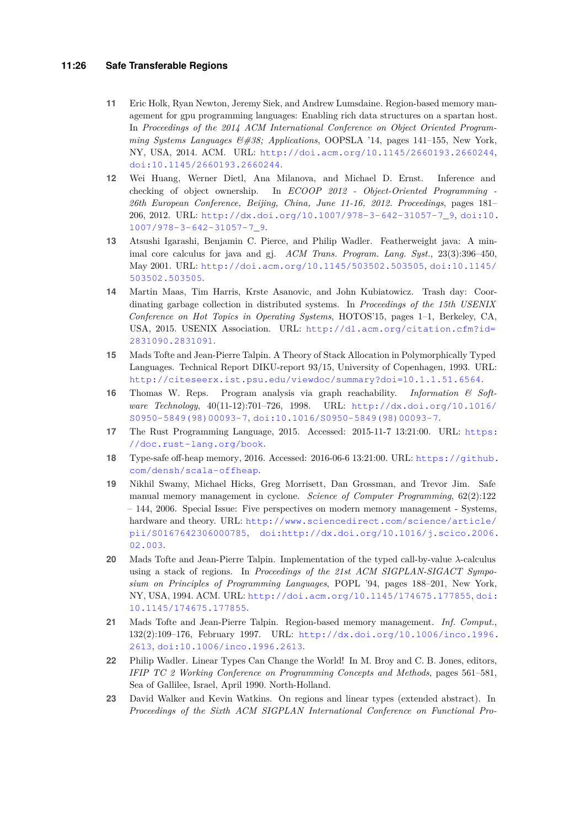#### **11:26 Safe Transferable Regions**

- <span id="page-25-9"></span>**11** Eric Holk, Ryan Newton, Jeremy Siek, and Andrew Lumsdaine. Region-based memory management for gpu programming languages: Enabling rich data structures on a spartan host. In *Proceedings of the 2014 ACM International Conference on Object Oriented Programming Systems Languages & Applications*, OOPSLA '14, pages 141–155, New York, NY, USA, 2014. ACM. URL: <http://doi.acm.org/10.1145/2660193.2660244>, [doi:10.1145/2660193.2660244](http://dx.doi.org/10.1145/2660193.2660244).
- <span id="page-25-12"></span>**12** Wei Huang, Werner Dietl, Ana Milanova, and Michael D. Ernst. Inference and checking of object ownership. In *ECOOP 2012 - Object-Oriented Programming - 26th European Conference, Beijing, China, June 11-16, 2012. Proceedings*, pages 181– 206, 2012. URL: [http://dx.doi.org/10.1007/978-3-642-31057-7\\_9](http://dx.doi.org/10.1007/978-3-642-31057-7_9), [doi:10.](http://dx.doi.org/10.1007/978-3-642-31057-7_9) [1007/978-3-642-31057-7\\_9](http://dx.doi.org/10.1007/978-3-642-31057-7_9).
- <span id="page-25-5"></span>**13** Atsushi Igarashi, Benjamin C. Pierce, and Philip Wadler. Featherweight java: A minimal core calculus for java and gj. *ACM Trans. Program. Lang. Syst.*, 23(3):396–450, May 2001. URL: <http://doi.acm.org/10.1145/503502.503505>, [doi:10.1145/](http://dx.doi.org/10.1145/503502.503505) [503502.503505](http://dx.doi.org/10.1145/503502.503505).
- <span id="page-25-0"></span>**14** Martin Maas, Tim Harris, Krste Asanovic, and John Kubiatowicz. Trash day: Coordinating garbage collection in distributed systems. In *Proceedings of the 15th USENIX Conference on Hot Topics in Operating Systems*, HOTOS'15, pages 1–1, Berkeley, CA, USA, 2015. USENIX Association. URL: [http://dl.acm.org/citation.cfm?id=](http://dl.acm.org/citation.cfm?id=2831090.2831091) [2831090.2831091](http://dl.acm.org/citation.cfm?id=2831090.2831091).
- <span id="page-25-7"></span>**15** Mads Tofte and Jean-Pierre Talpin. A Theory of Stack Allocation in Polymorphically Typed Languages. Technical Report DIKU-report 93/15, University of Copenhagen, 1993. URL: <http://citeseerx.ist.psu.edu/viewdoc/summary?doi=10.1.1.51.6564>.
- <span id="page-25-6"></span>**16** Thomas W. Reps. Program analysis via graph reachability. *Information & Software Technology*, 40(11-12):701–726, 1998. URL: [http://dx.doi.org/10.1016/](http://dx.doi.org/10.1016/S0950-5849(98)00093-7) [S0950-5849\(98\)00093-7](http://dx.doi.org/10.1016/S0950-5849(98)00093-7), [doi:10.1016/S0950-5849\(98\)00093-7](http://dx.doi.org/10.1016/S0950-5849(98)00093-7).
- <span id="page-25-8"></span>**17** The Rust Programming Language, 2015. Accessed: 2015-11-7 13:21:00. URL: [https:](https://doc.rust-lang.org/book) [//doc.rust-lang.org/book](https://doc.rust-lang.org/book).
- <span id="page-25-1"></span>**18** Type-safe off-heap memory, 2016. Accessed: 2016-06-6 13:21:00. URL: [https://github.](https://github.com/densh/scala-offheap) [com/densh/scala-offheap](https://github.com/densh/scala-offheap).
- <span id="page-25-11"></span>**19** Nikhil Swamy, Michael Hicks, Greg Morrisett, Dan Grossman, and Trevor Jim. Safe manual memory management in cyclone. *Science of Computer Programming*, 62(2):122 – 144, 2006. Special Issue: Five perspectives on modern memory management - Systems, hardware and theory. URL: [http://www.sciencedirect.com/science/article/](http://www.sciencedirect.com/science/article/pii/S0167642306000785) [pii/S0167642306000785](http://www.sciencedirect.com/science/article/pii/S0167642306000785), [doi:http://dx.doi.org/10.1016/j.scico.2006.](http://dx.doi.org/http://dx.doi.org/10.1016/j.scico.2006.02.003) [02.003](http://dx.doi.org/http://dx.doi.org/10.1016/j.scico.2006.02.003).
- <span id="page-25-2"></span>**20** Mads Tofte and Jean-Pierre Talpin. Implementation of the typed call-by-value *λ*-calculus using a stack of regions. In *Proceedings of the 21st ACM SIGPLAN-SIGACT Symposium on Principles of Programming Languages*, POPL '94, pages 188–201, New York, NY, USA, 1994. ACM. URL: <http://doi.acm.org/10.1145/174675.177855>, [doi:](http://dx.doi.org/10.1145/174675.177855) [10.1145/174675.177855](http://dx.doi.org/10.1145/174675.177855).
- <span id="page-25-3"></span>**21** Mads Tofte and Jean-Pierre Talpin. Region-based memory management. *Inf. Comput.*, 132(2):109–176, February 1997. URL: [http://dx.doi.org/10.1006/inco.1996.](http://dx.doi.org/10.1006/inco.1996.2613) [2613](http://dx.doi.org/10.1006/inco.1996.2613), [doi:10.1006/inco.1996.2613](http://dx.doi.org/10.1006/inco.1996.2613).
- <span id="page-25-10"></span>**22** Philip Wadler. Linear Types Can Change the World! In M. Broy and C. B. Jones, editors, *IFIP TC 2 Working Conference on Programming Concepts and Methods*, pages 561–581, Sea of Gallilee, Israel, April 1990. North-Holland.
- <span id="page-25-4"></span>**23** David Walker and Kevin Watkins. On regions and linear types (extended abstract). In *Proceedings of the Sixth ACM SIGPLAN International Conference on Functional Pro-*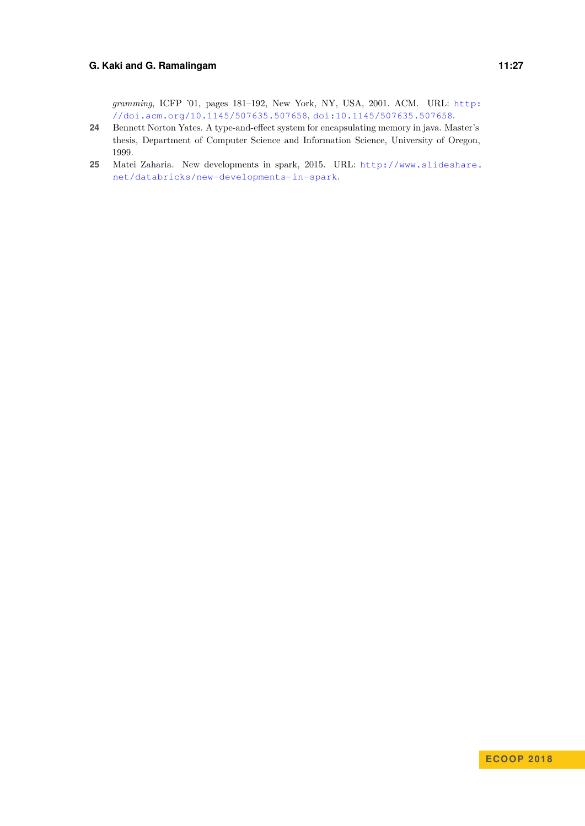*gramming*, ICFP '01, pages 181–192, New York, NY, USA, 2001. ACM. URL: [http:](http://doi.acm.org/10.1145/507635.507658) [//doi.acm.org/10.1145/507635.507658](http://doi.acm.org/10.1145/507635.507658), [doi:10.1145/507635.507658](http://dx.doi.org/10.1145/507635.507658).

- <span id="page-26-1"></span>**24** Bennett Norton Yates. A type-and-effect system for encapsulating memory in java. Master's thesis, Department of Computer Science and Information Science, University of Oregon, 1999.
- <span id="page-26-0"></span>**25** Matei Zaharia. New developments in spark, 2015. URL: [http://www.slideshare.](http://www.slideshare.net/databricks/new-developments-in-spark) [net/databricks/new-developments-in-spark](http://www.slideshare.net/databricks/new-developments-in-spark).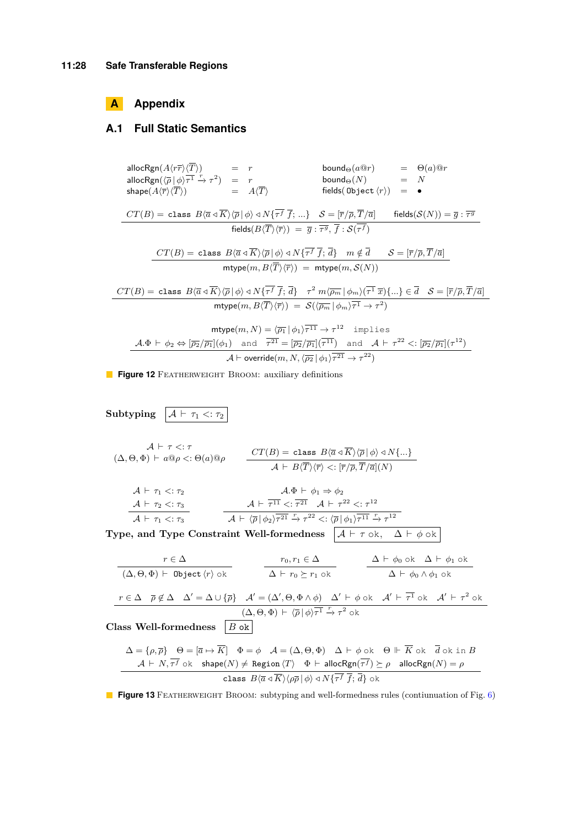## **A Appendix**

### **A.1 Full Static Semantics**

\n
$$
\begin{array}{llll}\n\text{allocRgn}(A\langle r\overline{r}\rangle\langle T\rangle) & = & r & \text{bound}_{\Theta}(a@r) & = & \Theta(a)@r \\
\text{allocRgn}(\overline{\rho}|\phi\rangle\overline{\tau^1} \xrightarrow{r} \tau^2) & = & r & \text{bound}_{\Theta}(N) & = & N \\
\text{shape}(A\langle \overline{r}\rangle\langle T\rangle) & = & A\langle T\rangle & \text{fields}(\text{Object}\langle r\rangle) & = & \bullet \\
\hline\n\end{array}
$$
\n

\n\n
$$
\begin{array}{llll}\n\text{cr}(B) = \text{class } B\langle \overline{a} \triangleleft \overline{K}\rangle\langle \overline{\rho}|\phi\rangle \triangleleft N\{\overline{\tau^f} \overline{f}; \ldots\} & S = [\overline{r}/\overline{\rho}, \overline{T}/\overline{a}] & \text{fields}(S(N)) = \overline{g} : \overline{\tau^g} \\
\hline\n\end{array}
$$
\n

\n\n
$$
\begin{array}{llll}\n\text{cr}(B) = \text{class } B\langle \overline{a} \triangleleft \overline{K}\rangle\langle \overline{\rho}|\phi\rangle \triangleleft N\{\overline{\tau^f} \overline{f}; \overline{d}\} & m \notin \overline{d} & S = [\overline{r}/\overline{\rho}, \overline{T}/\overline{a}] \\
\hline\n\end{array}
$$
\n

\n\n
$$
\begin{array}{llll}\n\text{cr}(B) = \text{class } B\langle \overline{a} \triangleleft \overline{K}\rangle\langle \overline{\rho}|\phi\rangle \triangleleft N\{\overline{\tau^f} \overline{f}; \overline{d}\} & m \notin \overline{d} & S = [\overline{r}/\overline{\rho}, \overline{T}/\overline{a}] \\
\hline\n\end{array}
$$
\n

\n\n
$$
\begin{array}{llll}\n\text{cr}(B) = \text{class } B\langle \overline{a} \triangleleft \overline{K}\rangle\langle \overline{\rho}|\phi\rangle \triangleleft N\{\overline{\tau^f} \overline{f}; \overline{d}\} & m \notin \overline{d
$$

 $\overline{21} \rightarrow \tau^{22}$ 

$$
\mathcal{A}\vdash \mathsf{override}(m,N,\langle \overline{\rho_2}\,|\,\phi_1\rangle\tau
$$

**Figure 12** FEATHERWEIGHT BROOM: auxiliary definitions

**Subtyping**  $\boxed{A \vdash \tau_1 \lt: \tau_2}$ A ` *τ <*: *τ*  $(C_1, \Theta, \Phi) \vdash a \mathbb{Q} \rho < : \Theta(a) \mathbb{Q} \rho$   $\qquad \qquad \frac{CT(B) = \text{class } B\langle \overline{a} \triangleleft K \rangle \langle \overline{\rho} | \phi \rangle \triangleleft N\{...\}}{=}$  $\mathcal{A} \vdash B\langle T\rangle\langle\overline{r}\rangle <: [\overline{r}/\overline{\rho}, \overline{T}/\overline{a}](N)$  $\mathcal{A} \;\vdash\; \tau_1 <: \tau_2$  $\mathcal{A} \;\vdash\; \tau_2 <: \tau_3$  $\mathcal{A} \;\vdash\; \tau_1 <: \tau_3$  $A.\Phi \vdash \phi_1 \Rightarrow \phi_2$  $\mathcal{A} \vdash \overline{\tau^{11}} < : \overline{\tau^{21}} \quad \mathcal{A} \vdash \tau^{22} < : \tau^{12}$  $\mathcal{A} \vdash \langle \overline{\rho} | \phi_2 \rangle \overline{\tau^{21}} \xrightarrow{r} \tau^{22} \langle : \langle \overline{\rho} | \phi_1 \rangle \overline{\tau^{11}} \xrightarrow{r} \tau^{12}$ **Type, and Type Constraint Well-formedness**  $\overline{A \vdash \tau \circ k, \Delta \vdash \phi \circ k}$ *r* ∈ ∆  $(\Delta, \Theta, \Phi)$   $\vdash$  **Object**  $\langle r \rangle$  ok  $r_0, r_1 \in \Delta$  $\Delta$   $\vdash$   $r_0$   $\succeq$   $r_1$  ok  $\Delta$   $\vdash$   $\phi_0$  ok  $\Delta$   $\vdash$   $\phi_1$  ok  $Δ ⊢ φ₀ ∧ φ₁$  ok  $r \in \Delta$   $\overline{\rho} \notin \Delta$   $\Delta' = \Delta \cup {\overline{\rho}}$   $\mathcal{A}' = (\Delta', \Theta, \Phi \wedge \phi)$   $\Delta' \vdash \phi$  ok  $\mathcal{A}' \vdash \overline{\tau^1}$  ok  $\mathcal{A}' \vdash \tau^2$  ok  $(\Delta, \Theta, \Phi) \vdash \langle \overline{\rho} | \phi \rangle \overline{\tau^1} \stackrel{r}{\rightarrow} \tau^2$  ok **Class Well-formedness** *B* ok  $\Delta = {\rho, \overline{\rho}}$   $\Theta = [\overline{a} \mapsto \overline{K}]$   $\Phi = \phi$   $\mathcal{A} = (\Delta, \Theta, \Phi)$   $\Delta \vdash \phi$  ok  $\Theta \Vdash \overline{K}$  ok  $\overline{d}$  ok in *B*  $\mathcal{A} \vdash N, \tau^f \text{ ok }$  shape $(N) \ne \text{Region } \langle T \rangle$   $\Phi \vdash \textsf{allocRgn}(\tau^f) \succeq \rho$  alloc $\textsf{Rgn}(N) = \rho$ class  $B\langle \overline{a} \triangleleft K \rangle \langle \rho \overline{\rho} | \phi \rangle \triangleleft N\{ \tau^f | f; d \} \triangleleft k$ 

**Figure 13** FEATHERWEIGHT BROOM: subtyping and well-formedness rules (contiunuation of Fig. [6\)](#page-9-0)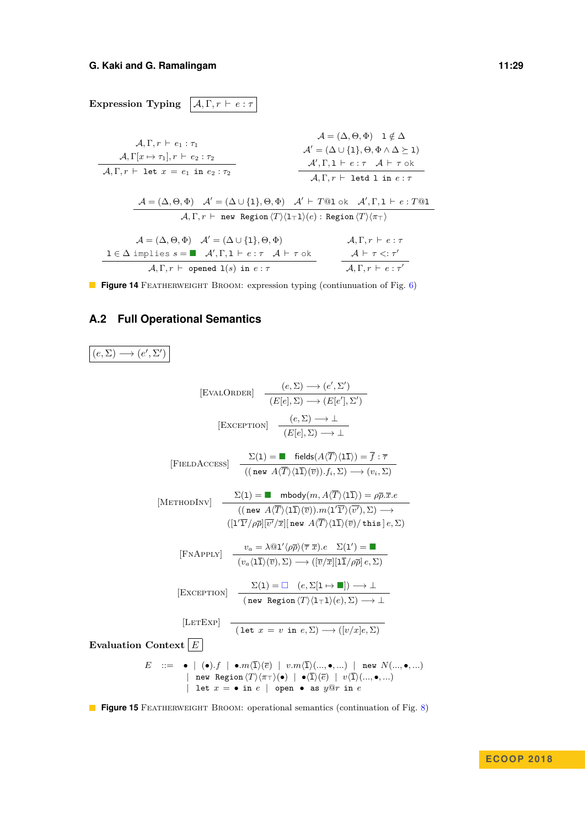**Expression Typing**  $\overline{A}$ ,  $\Gamma$ ,  $r \vdash e : \tau$  $\mathcal{A}, \Gamma, r \vdash e_1 : \tau_1$  $\mathcal{A}, \Gamma[x \mapsto \tau_1], r \vdash e_2 : \tau_2$  $\mathcal{A}, \Gamma, r \vdash$  let  $x = e_1$  in  $e_2 : \tau_2$  $\mathcal{A} = (\Delta, \Theta, \Phi)$  l  $\notin \Delta$  $\mathcal{A}' = (\Delta \cup \{1\}, \Theta, \Phi \wedge \Delta \succeq 1)$  $\mathcal{A}', \Gamma, \mathbf{1} \vdash e : \tau \quad \mathcal{A} \vdash \tau$  ok  $\mathcal{A}, \Gamma, r \vdash$  letd l in  $e : \tau$  $\mathcal{A} = (\Delta, \Theta, \Phi)$   $\mathcal{A}' = (\Delta \cup \{1\}, \Theta, \Phi)$   $\mathcal{A}' \vdash T@1 \text{ ok } \mathcal{A}', \Gamma, 1 \vdash e : T@1$  $\mathcal{A}, \Gamma, r \;\vdash\; \mathtt{new}\;$  Region  $\langle T\rangle\langle\mathtt{l}_\top\mathtt{l}\rangle(e)$  : Region  $\langle T\rangle\langle\pi_\top\rangle$  $\mathcal{A} = (\Delta, \Theta, \Phi)$   $\mathcal{A}' = (\Delta \cup \{1\}, \Theta, \Phi)$  $1 \in \Delta$  implies  $s = \blacksquare$   $\mathcal{A}', \Gamma, 1 \vdash e : \tau \mathcal{A} \vdash \tau$  ok  $\mathcal{A}, \Gamma, r \vdash$  opened  $\mathbb{1}(s)$  in  $e : \tau$  $\mathcal{A}, \Gamma, r \vdash e : \tau$  $\mathcal{A} \vdash \tau \mathrel{<:} \tau'$  $\mathcal{A}, \Gamma, r \vdash e : \tau'$ 

**Figure 14** FEATHERWEIGHT BROOM: expression typing (contiunuation of Fig. [6\)](#page-9-0)

### **A.2 Full Operational Semantics**

<span id="page-28-0"></span> $(e, \Sigma) \longrightarrow (e', \Sigma')$ 

$$
[EVALORERE]
$$
\n
$$
\frac{(e, \Sigma) \rightarrow (e', \Sigma')}{(E[e], \Sigma) \rightarrow (E[e'], \Sigma')}
$$
\n
$$
[EXCEPTION]
$$
\n
$$
\frac{(e, \Sigma) \rightarrow \bot}{(E[e], \Sigma) \rightarrow \bot}
$$
\n
$$
[FIELDACCESS]
$$
\n
$$
\frac{\Sigma(1) = \blacksquare \text{ fields}(A\langle\overline{T}\rangle\langle 1\overline{1}\rangle) = \overline{f} : \overline{\tau}}{((\text{new } A\langle\overline{T}\rangle\langle 1\overline{1}\rangle\langle \overline{v}\rangle), f_i, \Sigma) \rightarrow (v_i, \Sigma)}
$$
\n
$$
[METHODINV]
$$
\n
$$
\frac{\Sigma(1) = \blacksquare \text{ mbody}(m, A\langle\overline{T}\rangle\langle 1\overline{1}\rangle) = \rho\overline{\rho}.\overline{x}.e}{((\text{new } A\langle\overline{T}\rangle\langle 1\overline{1}\rangle\langle \overline{v}\rangle), m\langle 1\overline{T}\rangle\langle \overline{v}\rangle, \Sigma) \rightarrow (1\langle 1\overline{T}\rangle\langle \overline{p}\rangle\langle \overline{r}\rangle\langle \overline{r}\rangle)
$$
\n
$$
[FNAPPLY]
$$
\n
$$
\frac{v_a = \lambda \text{@1}'\langle \rho\overline{\rho}\rangle(\overline{\tau}.\overline{x}).e \Sigma(1') = \blacksquare}{(v_a\langle 1\overline{1}\rangle\langle \overline{v}\rangle), \Sigma) \rightarrow ((\overline{v}/\overline{x}][\overline{1}\overline{1}\rho\overline{\rho}].e, \Sigma)}
$$
\n
$$
[EXCEPTION]
$$
\n
$$
\frac{\Sigma(1) = \square \quad (e, \Sigma[1 \rightarrow \blacksquare)) \rightarrow \bot}{(\text{new Region }\langle T\rangle\langle 1\overline{\tau}\rangle\langle e), \Sigma) \rightarrow \bot}
$$
\n
$$
[LETEXP]
$$
\n
$$
[LETEXP]
$$
\n
$$
[Let x = v \text{ in } e, \Sigma) \rightarrow ([v/x]e, \Sigma)
$$
\n
$$
E ::= \bullet | (\bullet).f | \bullet.m(\overline{1}\rangle(\overline{e}) | v.m(\overline{1}\rangle\langle\ldots, \bullet, \ldots) | \text{ new } N
$$

**Figure 15** FEATHERWEIGHT BROOM: operational semantics (continuation of Fig. [8\)](#page-13-0)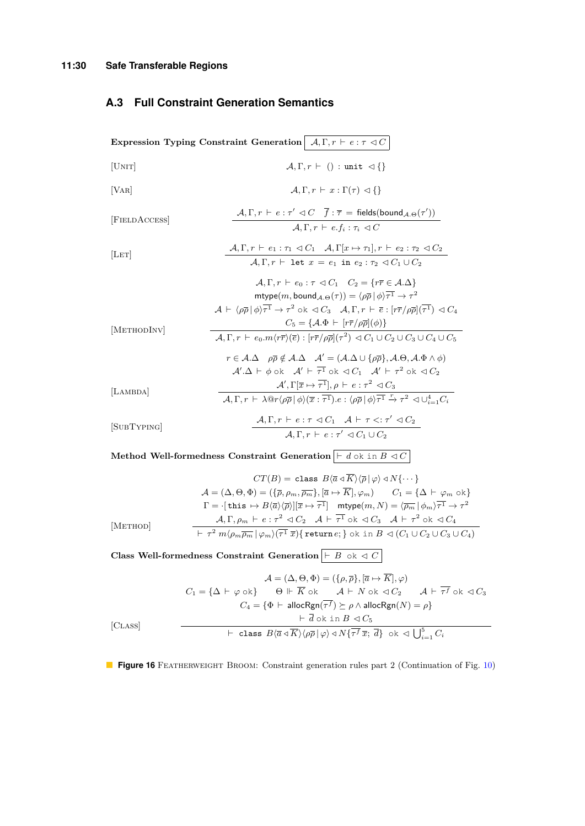# **A.3 Full Constraint Generation Semantics**

<span id="page-29-0"></span>

| Expression Typing Constraint Generation $A, \Gamma, r \vdash e : \tau \lhd C$ |                                                                                                                                                                                                                                                                                                                                                                                                                                                                                                                                                                                                                                                                                                                                                                                                                                                                                                                                                                                                                                                                       |  |  |  |
|-------------------------------------------------------------------------------|-----------------------------------------------------------------------------------------------------------------------------------------------------------------------------------------------------------------------------------------------------------------------------------------------------------------------------------------------------------------------------------------------------------------------------------------------------------------------------------------------------------------------------------------------------------------------------------------------------------------------------------------------------------------------------------------------------------------------------------------------------------------------------------------------------------------------------------------------------------------------------------------------------------------------------------------------------------------------------------------------------------------------------------------------------------------------|--|--|--|
| [UNIT]                                                                        | $\mathcal{A}, \Gamma, r \vdash () : \text{unit } \lhd \{\}$                                                                                                                                                                                                                                                                                                                                                                                                                                                                                                                                                                                                                                                                                                                                                                                                                                                                                                                                                                                                           |  |  |  |
| VAR                                                                           | $A, \Gamma, r \vdash x : \Gamma(\tau) \triangleleft \{\}$                                                                                                                                                                                                                                                                                                                                                                                                                                                                                                                                                                                                                                                                                                                                                                                                                                                                                                                                                                                                             |  |  |  |
| [FIELDACCESS]                                                                 | $\mathcal{A}, \Gamma, r \vdash e : \tau' \lhd C \quad \overline{f} : \overline{\tau} = \text{fields}(\text{bound}_{\mathcal{A}.\Theta}(\tau'))$<br>$A, \Gamma, r \vdash e, f_i : \tau_i \lhd C$                                                                                                                                                                                                                                                                                                                                                                                                                                                                                                                                                                                                                                                                                                                                                                                                                                                                       |  |  |  |
| LET                                                                           | $\mathcal{A}, \Gamma, r \vdash e_1 : \tau_1 \lhd C_1 \quad \mathcal{A}, \Gamma[x \mapsto \tau_1], r \vdash e_2 : \tau_2 \lhd C_2$<br>$\mathcal{A}, \Gamma, r \vdash$ let $x = e_1$ in $e_2 : \tau_2 \vartriangleleft C_1 \cup C_2$                                                                                                                                                                                                                                                                                                                                                                                                                                                                                                                                                                                                                                                                                                                                                                                                                                    |  |  |  |
| [METHODINV]                                                                   | $A, \Gamma, r \vdash e_0 : \tau \lhd C_1$ $C_2 = \{r\overline{r} \in A.\Delta\}$<br>mtype $(m,$ bound $_{\mathcal{A},\Theta}(\tau)) = \langle \rho \overline{\rho}   \phi \rangle \overline{\tau^1} \to \tau^2$<br>$\mathcal{A} \vdash \langle \rho \overline{\rho}   \phi \rangle \overline{\tau^1} \rightarrow \tau^2 \text{ ok } \triangleleft C_3 \quad \mathcal{A}, \Gamma, r \vdash \overline{e} : [r\overline{r}/\rho \overline{\rho}](\overline{\tau^1}) \triangleleft C_4$<br>$C_5 = \{ \mathcal{A} \Phi \vdash [r\overline{r}/\rho\overline{\rho}](\phi) \}$<br>$\mathcal{A}, \Gamma, r \vdash e_0.m \langle r\overline{r} \rangle \langle \overline{e} \rangle : [r\overline{r}/\rho\overline{\rho}](\tau^2) \triangleleft C_1 \cup C_2 \cup C_3 \cup C_4 \cup C_5$<br>$r \in A.\Delta$ $\rho \overline{\rho} \notin A.\Delta$ $A' = (A.\Delta \cup {\rho \overline{\rho}}), A.\Theta, A.\Phi \wedge \phi)$<br>$\mathcal{A}' \cdot \Delta \vdash \phi$ ok $\mathcal{A}' \vdash \overline{\tau^1}$ ok $\lhd C_1$ $\mathcal{A}' \vdash \tau^2$ ok $\lhd C_2$ |  |  |  |
| [LAMBDA]                                                                      | $\mathcal{A}', \Gamma[\overline{x} \mapsto \overline{\tau^1}], \rho \vdash e : \tau^2 \lhd C_3$<br>$\mathcal{A}, \Gamma, r \vdash \lambda \mathbb{Q}r \langle \rho \overline{\rho}   \phi \rangle (\overline{x} : \overline{\tau^1}).e : \langle \rho \overline{\rho}   \phi \rangle \overline{\tau^1} \stackrel{r}{\rightarrow} \tau^2 \triangleleft \cup_{i=1}^4 C_i$                                                                                                                                                                                                                                                                                                                                                                                                                                                                                                                                                                                                                                                                                               |  |  |  |
| [SUBTYPING]                                                                   | $A, \Gamma, r \vdash e : \tau \lhd C_1 \quad A \vdash \tau \lhd : \tau' \lhd C_2$<br>$\mathcal{A}, \Gamma, r \vdash e : \tau' \lhd C_1 \cup C_2$                                                                                                                                                                                                                                                                                                                                                                                                                                                                                                                                                                                                                                                                                                                                                                                                                                                                                                                      |  |  |  |
|                                                                               |                                                                                                                                                                                                                                                                                                                                                                                                                                                                                                                                                                                                                                                                                                                                                                                                                                                                                                                                                                                                                                                                       |  |  |  |

**Method Well-formedness Constraint Generation**  $\vert \vdash d$  ok in  $B \triangleleft C \vert$ 

$$
CT(B) = \text{class } B \langle \overline{a} \triangleleft \overline{K} \rangle \langle \overline{p} | \varphi \rangle \triangleleft N \{ \cdots \} \rangle
$$
  

$$
\mathcal{A} = (\Delta, \Theta, \Phi) = (\{ \overline{\rho}, \rho_m, \overline{\rho_m} \}, [\overline{a} \mapsto \overline{K}], \varphi_m) \qquad C_1 = \{ \Delta \vdash \varphi_m \text{ ok} \} \qquad \Gamma = \{\text{this } \mapsto B \langle \overline{a} \rangle \langle \overline{\rho} \rangle | [\overline{x} \mapsto \overline{\tau}^1] \qquad \text{mtype}(m, N) = \langle \overline{\rho_m} | \phi_m \rangle \overline{\tau^1} \to \tau^2 \qquad \text{At } \Gamma, \rho_m \vdash e : \tau^2 \triangleleft C_2 \quad \mathcal{A} \vdash \overline{\tau^1} \text{ ok } \triangleleft C_3 \quad \mathcal{A} \vdash \tau^2 \text{ ok } \triangleleft C_4 \qquad \text{At } \tau^2 \uparrow \forall m \langle \rho_m \overline{\rho_m} | \varphi_m \rangle \langle \overline{\tau^1} \overline{x} \rangle \{\text{return } e; \} \text{ ok in } B \triangleleft (C_1 \cup C_2 \cup C_3 \cup C_4 \text{)}
$$

**Class Well-formedness Constraint Generation**  $\boxed{\vdash B \text{ ok } \lhd C}$ 

$$
\mathcal{A} = (\Delta, \Theta, \Phi) = (\{\rho, \overline{\rho}\}, [\overline{a} \mapsto \overline{K}], \varphi)
$$
  
\n
$$
C_1 = \{\Delta \vdash \varphi \text{ ok}\} \qquad \Theta \Vdash \overline{K} \text{ ok} \qquad \mathcal{A} \vdash N \text{ ok} \lhd C_2 \qquad \mathcal{A} \vdash \overline{\tau}^f \text{ ok} \lhd C_3
$$
  
\n
$$
C_4 = \{\Phi \vdash \text{allocRgn}(\overline{\tau}^f) \succeq \rho \land \text{allocRgn}(N) = \rho\}
$$
  
\n
$$
\vdash \overline{d} \text{ ok in } B \lhd C_5
$$
  
\n
$$
\vdash \text{ class } B\langle \overline{a} \lhd \overline{K} \rangle \langle \rho \overline{\rho} | \varphi \rangle \lhd N\{\overline{\tau}^f \overline{x}; \overline{d}\} \text{ ok } \vartriangleleft \bigcup_{i=1}^5 C_i
$$

**Figure 16** FEATHERWEIGHT BROOM: Constraint generation rules part 2 (Continuation of Fig. [10\)](#page-17-0)